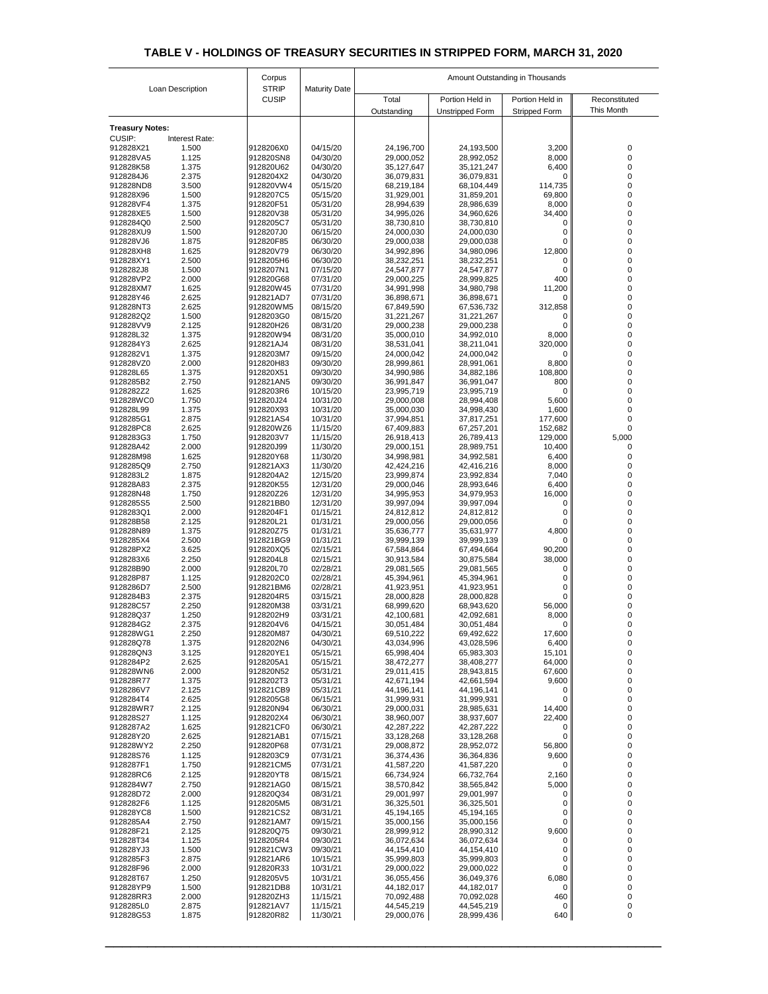| Loan Description                        |                | Corpus                       | <b>Maturity Date</b> | Amount Outstanding in Thousands |                                           |                                         |                             |  |
|-----------------------------------------|----------------|------------------------------|----------------------|---------------------------------|-------------------------------------------|-----------------------------------------|-----------------------------|--|
|                                         |                | <b>STRIP</b><br><b>CUSIP</b> |                      | Total<br>Outstanding            | Portion Held in<br><b>Unstripped Form</b> | Portion Held in<br><b>Stripped Form</b> | Reconstituted<br>This Month |  |
|                                         |                |                              |                      |                                 |                                           |                                         |                             |  |
| <b>Treasury Notes:</b><br><b>CUSIP:</b> | Interest Rate: |                              |                      |                                 |                                           |                                         |                             |  |
| 912828X21                               | 1.500          | 9128206X0                    | 04/15/20             | 24,196,700                      | 24,193,500                                | 3,200                                   | 0                           |  |
| 912828VA5                               | 1.125          | 912820SN8                    | 04/30/20             | 29,000,052                      | 28,992,052                                | 8,000                                   | 0                           |  |
| 912828K58<br>9128284J6                  | 1.375          | 912820U62<br>9128204X2       | 04/30/20<br>04/30/20 | 35,127,647                      | 35,121,247                                | 6,400                                   | 0                           |  |
| 912828ND8                               | 2.375<br>3.500 | 912820VW4                    | 05/15/20             | 36,079,831<br>68,219,184        | 36,079,831<br>68,104,449                  | 0<br>114,735                            | 0                           |  |
| 912828X96                               | 1.500          | 9128207C5                    | 05/15/20             | 31,929,001                      | 31,859,201                                | 69,800                                  | Ω                           |  |
| 912828VF4                               | 1.375          | 912820F51                    | 05/31/20             | 28,994,639                      | 28,986,639                                | 8,000                                   | 0                           |  |
| 912828XE5<br>9128284Q0                  | 1.500<br>2.500 | 912820V38<br>9128205C7       | 05/31/20<br>05/31/20 | 34,995,026<br>38,730,810        | 34,960,626<br>38,730,810                  | 34,400<br>0                             | 0                           |  |
| 912828XU9                               | 1.500          | 9128207J0                    | 06/15/20             | 24,000,030                      | 24,000,030                                | 0                                       |                             |  |
| 912828VJ6                               | 1.875          | 912820F85                    | 06/30/20             | 29,000,038                      | 29,000,038                                | $\overline{0}$                          | Ω                           |  |
| 912828XH8                               | 1.625          | 912820V79                    | 06/30/20             | 34,992,896                      | 34,980,096                                | 12,800                                  | 0                           |  |
| 912828XY1<br>9128282J8                  | 2.500<br>1.500 | 9128205H6<br>9128207N1       | 06/30/20<br>07/15/20 | 38,232,251<br>24,547,877        | 38,232,251<br>24,547,877                  | 0<br>0                                  |                             |  |
| 912828VP2                               | 2.000          | 912820G68                    | 07/31/20             | 29,000,225                      | 28,999,825                                | 400                                     |                             |  |
| 912828XM7                               | 1.625          | 912820W45                    | 07/31/20             | 34,991,998                      | 34,980,798                                | 11,200                                  |                             |  |
| 912828Y46                               | 2.625          | 912821AD7                    | 07/31/20             | 36,898,671                      | 36,898,671                                | 0                                       | 0                           |  |
| 912828NT3<br>9128282Q2                  | 2.625<br>1.500 | 912820WM5<br>9128203G0       | 08/15/20<br>08/15/20 | 67,849,590<br>31,221,267        | 67,536,732<br>31,221,267                  | 312,858<br>$\overline{0}$               |                             |  |
| 912828VV9                               | 2.125          | 912820H26                    | 08/31/20             | 29,000,238                      | 29,000,238                                | 0                                       | 0                           |  |
| 912828L32                               | 1.375          | 912820W94                    | 08/31/20             | 35,000,010                      | 34,992,010                                | 8,000                                   |                             |  |
| 9128284Y3                               | 2.625          | 912821AJ4                    | 08/31/20             | 38,531,041                      | 38,211,041                                | 320,000                                 |                             |  |
| 9128282V1<br>912828VZ0                  | 1.375<br>2.000 | 9128203M7<br>912820H83       | 09/15/20<br>09/30/20 | 24,000,042<br>28,999,861        | 24,000,042<br>28,991,061                  | 0<br>8,800                              |                             |  |
| 912828L65                               | 1.375          | 912820X51                    | 09/30/20             | 34,990,986                      | 34,882,186                                | 108,800                                 |                             |  |
| 9128285B2                               | 2.750          | 912821AN5                    | 09/30/20             | 36,991,847                      | 36,991,047                                | 800                                     |                             |  |
| 9128282Z2                               | 1.625          | 9128203R6                    | 10/15/20             | 23,995,719                      | 23,995,719                                | $\mathbf{0}$                            |                             |  |
| 912828WC0<br>912828L99                  | 1.750<br>1.375 | 912820J24<br>912820X93       | 10/31/20<br>10/31/20 | 29,000,008<br>35,000,030        | 28,994,408<br>34,998,430                  | 5,600<br>1,600                          |                             |  |
| 9128285G1                               | 2.875          | 912821AS4                    | 10/31/20             | 37,994,851                      | 37,817,251                                | 177,600                                 |                             |  |
| 912828PC8                               | 2.625          | 912820WZ6                    | 11/15/20             | 67,409,883                      | 67,257,201                                | 152,682                                 |                             |  |
| 9128283G3                               | 1.750          | 9128203V7                    | 11/15/20             | 26,918,413                      | 26,789,413                                | 129,000                                 | 5,000                       |  |
| 912828A42<br>912828M98                  | 2.000<br>1.625 | 912820J99<br>912820Y68       | 11/30/20<br>11/30/20 | 29,000,151<br>34,998,981        | 28,989,751<br>34,992,581                  | 10,400<br>6,400                         | $\Omega$<br>0               |  |
| 9128285Q9                               | 2.750          | 912821AX3                    | 11/30/20             | 42,424,216                      | 42,416,216                                | 8,000                                   |                             |  |
| 9128283L2                               | 1.875          | 9128204A2                    | 12/15/20             | 23,999,874                      | 23,992,834                                | 7,040                                   |                             |  |
| 912828A83                               | 2.375          | 912820K55                    | 12/31/20             | 29,000,046                      | 28,993,646                                | 6,400                                   |                             |  |
| 912828N48<br>9128285S5                  | 1.750<br>2.500 | 912820Z26<br>912821BB0       | 12/31/20<br>12/31/20 | 34,995,953<br>39,997,094        | 34,979,953<br>39,997,094                  | 16,000<br>0                             | 0                           |  |
| 9128283Q1                               | 2.000          | 9128204F1                    | 01/15/21             | 24,812,812                      | 24,812,812                                | 0                                       |                             |  |
| 912828B58                               | 2.125          | 912820L21                    | 01/31/21             | 29,000,056                      | 29,000,056                                | 0                                       |                             |  |
| 912828N89                               | 1.375          | 912820Z75                    | 01/31/21             | 35,636,777                      | 35,631,977                                | 4,800                                   |                             |  |
| 9128285X4<br>912828PX2                  | 2.500<br>3.625 | 912821BG9<br>912820XQ5       | 01/31/21<br>02/15/21 | 39,999,139<br>67,584,864        | 39,999,139<br>67,494,664                  | $\mathbf 0$<br>90,200                   | 0                           |  |
| 9128283X6                               | 2.250          | 9128204L8                    | 02/15/21             | 30,913,584                      | 30,875,584                                | 38,000                                  |                             |  |
| 912828B90                               | 2.000          | 912820L70                    | 02/28/21             | 29,081,565                      | 29,081,565                                | 0                                       |                             |  |
| 912828P87<br>9128286D7                  | 1.125<br>2.500 | 9128202C0<br>912821BM6       | 02/28/21<br>02/28/21 | 45,394,961<br>41,923,951        | 45,394,961<br>41,923,951                  | 0<br>0                                  |                             |  |
| 9128284B3                               | 2.375          | 9128204R5                    | 03/15/21             | 28,000,828                      | 28,000,828                                | 0                                       |                             |  |
| 912828C57                               | 2.250          | 912820M38                    | 03/31/21             | 68,999,620                      | 68,943,620                                | 56,000                                  |                             |  |
| 912828Q37                               | 1.250          | 9128202H9                    | 03/31/21             | 42,100,681                      | 42,092,681                                | 8,000                                   |                             |  |
| 9128284G2<br>912828WG1                  | 2.375<br>2.250 | 9128204V6<br>912820M87       | 04/15/21<br>04/30/21 | 30,051,484<br>69,510,222        | 30,051,484<br>69,492,622                  | 0<br>17,600                             |                             |  |
| 912828Q78                               | 1.375          | 9128202N6                    | 04/30/21             | 43,034,996                      | 43,028,596                                | 6,400                                   |                             |  |
| 912828QN3                               | 3.125          | 912820YE1                    | 05/15/21             | 65,998,404                      | 65,983,303                                | 15,101                                  |                             |  |
| 9128284P2                               | 2.625<br>2.000 | 9128205A1                    | 05/15/21             | 38,472,277                      | 38,408,277                                | 64,000                                  | 0                           |  |
| 912828WN6<br>912828R77                  | 1.375          | 912820N52<br>9128202T3       | 05/31/21<br>05/31/21 | 29,011,415<br>42,671,194        | 28,943,815<br>42,661,594                  | 67,600<br>9,600                         |                             |  |
| 9128286V7                               | 2.125          | 912821CB9                    | 05/31/21             | 44,196,141                      | 44,196,141                                | 0                                       |                             |  |
| 9128284T4                               | 2.625          | 9128205G8                    | 06/15/21             | 31,999,931                      | 31,999,931                                | 0                                       |                             |  |
| 912828WR7<br>912828S27                  | 2.125<br>1.125 | 912820N94<br>9128202X4       | 06/30/21<br>06/30/21 | 29,000,031<br>38,960,007        | 28,985,631<br>38,937,607                  | 14,400<br>22,400                        |                             |  |
| 9128287A2                               | 1.625          | 912821CF0                    | 06/30/21             | 42,287,222                      | 42,287,222                                | 0                                       |                             |  |
| 912828Y20                               | 2.625          | 912821AB1                    | 07/15/21             | 33,128,268                      | 33,128,268                                | 0                                       | 0                           |  |
| 912828WY2                               | 2.250          | 912820P68                    | 07/31/21             | 29,008,872                      | 28,952,072                                | 56,800                                  |                             |  |
| 912828S76<br>9128287F1                  | 1.125<br>1.750 | 9128203C9<br>912821CM5       | 07/31/21<br>07/31/21 | 36,374,436<br>41,587,220        | 36,364,836<br>41,587,220                  | 9,600<br>$\overline{0}$                 | 0                           |  |
| 912828RC6                               | 2.125          | 912820YT8                    | 08/15/21             | 66,734,924                      | 66,732,764                                | 2,160                                   |                             |  |
| 9128284W7                               | 2.750          | 912821AG0                    | 08/15/21             | 38,570,842                      | 38,565,842                                | 5,000                                   |                             |  |
| 912828D72                               | 2.000          | 912820Q34                    | 08/31/21             | 29,001,997                      | 29,001,997                                | $\mathbf{0}$                            |                             |  |
| 9128282F6                               | 1.125          | 9128205M5                    | 08/31/21             | 36,325,501                      | 36,325,501                                | 0                                       |                             |  |
| 912828YC8<br>9128285A4                  | 1.500<br>2.750 | 912821CS2<br>912821AM7       | 08/31/21<br>09/15/21 | 45,194,165<br>35,000,156        | 45,194,165<br>35,000,156                  | $\mathbf 0$<br>$\mathbf{0}$             |                             |  |
| 912828F21                               | 2.125          | 912820Q75                    | 09/30/21             | 28,999,912                      | 28,990,312                                | 9,600                                   |                             |  |
| 912828T34                               | 1.125          | 9128205R4                    | 09/30/21             | 36,072,634                      | 36,072,634                                | 0                                       |                             |  |
| 912828YJ3                               | 1.500          | 912821CW3                    | 09/30/21             | 44,154,410                      | 44,154,410                                | 0                                       |                             |  |
| 9128285F3<br>912828F96                  | 2.875<br>2.000 | 912821AR6<br>912820R33       | 10/15/21<br>10/31/21 | 35,999,803<br>29,000,022        | 35,999,803<br>29,000,022                  | 0<br>$\mathbf 0$                        |                             |  |
| 912828T67                               | 1.250          | 9128205V5                    | 10/31/21             | 36,055,456                      | 36,049,376                                | 6,080                                   |                             |  |
| 912828YP9                               | 1.500          | 912821DB8                    | 10/31/21             | 44,182,017                      | 44,182,017                                | 0                                       |                             |  |
| 912828RR3                               | 2.000          | 912820ZH3                    | 11/15/21             | 70,092,488                      | 70,092,028                                | 460                                     | 0                           |  |
| 9128285L0<br>912828G53                  | 2.875<br>1.875 | 912821AV7<br>912820R82       | 11/15/21<br>11/30/21 | 44,545,219<br>29,000,076        | 44,545,219<br>28,999,436                  | $\mathbf 0$<br>640                      | 0                           |  |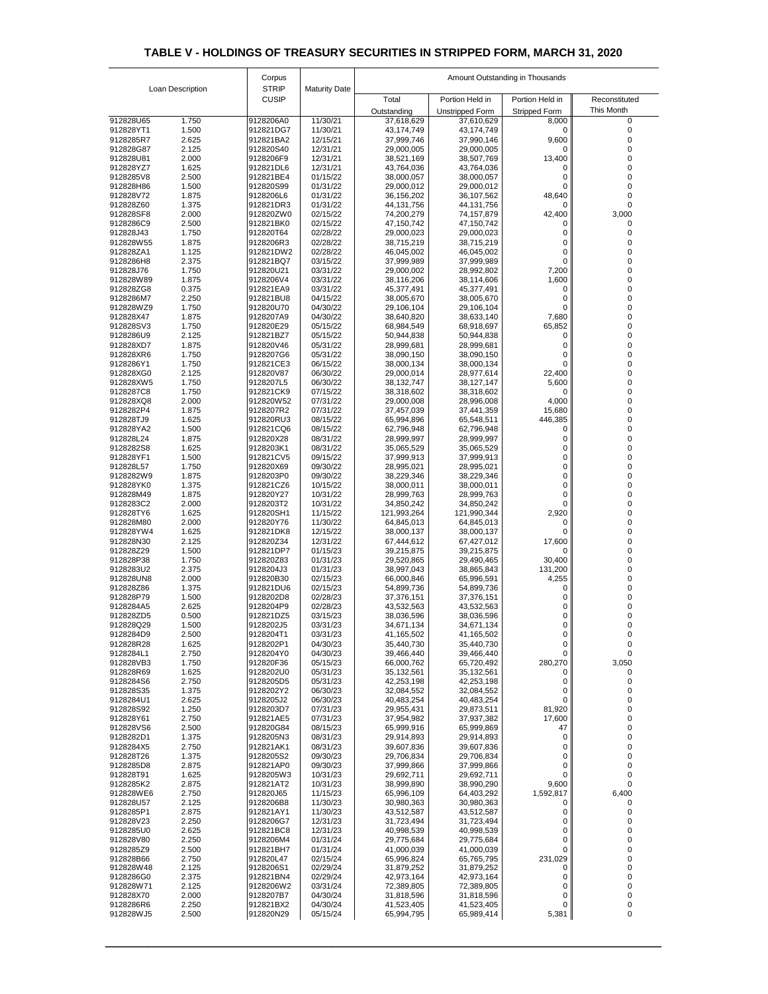| Loan Description<br><b>CUSIP</b><br>Portion Held in<br>Portion Held in<br>Total<br>Reconstituted<br>This Month<br><b>Unstripped Form</b><br><b>Stripped Form</b><br>Outstanding<br>11/30/21<br>912828U65<br>1.750<br>9128206A0<br>37,618,629<br>37,610,629<br>8,000<br>0<br>1.500<br>11/30/21<br>912828YT1<br>912821DG7<br>43,174,749<br>43,174,749<br>0<br>2.625<br>12/15/21<br>9,600<br>9128285R7<br>912821BA2<br>37,999,746<br>37,990,146<br>2.125<br>912828G87<br>912820S40<br>12/31/21<br>29,000,005<br>29,000,005<br>$\mathbf{0}$<br>13,400<br>912828U81<br>2.000<br>9128206F9<br>12/31/21<br>38,521,169<br>38,507,769<br>1.625<br>12/31/21<br>912828YZ7<br>912821DL6<br>43,764,036<br>43,764,036<br>0<br>2.500<br>9128285V8<br>912821BE4<br>01/15/22<br>38,000,057<br>38,000,057<br>0<br>1.500<br>912828H86<br>912820S99<br>01/31/22<br>29,000,012<br>29,000,012<br>0<br>48,640<br>912828V72<br>1.875<br>9128206L6<br>01/31/22<br>36,156,202<br>36,107,562<br>912828Z60<br>1.375<br>912821DR3<br>01/31/22<br>44,131,756<br>44,131,756<br>0<br>2.000<br>02/15/22<br>42,400<br>3,000<br>912828SF8<br>912820ZW0<br>74,200,279<br>74,157,879<br>2.500<br>9128286C9<br>912821BK0<br>02/15/22<br>47,150,742<br>47,150,742<br>0<br>912828J43<br>1.750<br>912820T64<br>02/28/22<br>29,000,023<br>29,000,023<br>0<br>912828W55<br>1.875<br>9128206R3<br>02/28/22<br>38,715,219<br>38,715,219<br>0<br>1.125<br>0<br>912828ZA1<br>912821DW2<br>02/28/22<br>46,045,002<br>46,045,002<br>2.375<br>03/15/22<br>0<br>9128286H8<br>912821BQ7<br>37,999,989<br>37,999,989<br>7,200<br>912828J76<br>1.750<br>912820U21<br>03/31/22<br>29,000,002<br>28,992,802<br>1,600<br>912828W89<br>1.875<br>9128206V4<br>03/31/22<br>38,116,206<br>38,114,606<br>912828ZG8<br>0.375<br>912821EA9<br>03/31/22<br>45,377,491<br>45,377,491<br>0<br>9128286M7<br>2.250<br>912821BU8<br>04/15/22<br>0<br>38,005,670<br>38,005,670<br>912828WZ9<br>1.750<br>912820U70<br>04/30/22<br>29,106,104<br>29,106,104<br>0<br>912828X47<br>1.875<br>9128207A9<br>04/30/22<br>38,640,820<br>38,633,140<br>7,680<br>65,852<br>912828SV3<br>1.750<br>912820E29<br>05/15/22<br>68,984,549<br>68,918,697<br>2.125<br>9128286U9<br>912821BZ7<br>05/15/22<br>50,944,838<br>50,944,838<br>0<br>912828XD7<br>1.875<br>912820V46<br>05/31/22<br>28,999,681<br>28,999,681<br>0<br>912828XR6<br>1.750<br>9128207G6<br>05/31/22<br>38,090,150<br>38,090,150<br>0<br>912821CE3<br>06/15/22<br>38,000,134<br>9128286Y1<br>1.750<br>38,000,134<br>0<br>22,400<br>912828XG0<br>2.125<br>912820V87<br>06/30/22<br>29,000,014<br>28,977,614<br>1.750<br>9128207L5<br>06/30/22<br>38, 132, 747<br>5,600<br>912828XW5<br>38,127,147<br>9128287C8<br>1.750<br>912821CK9<br>07/15/22<br>38,318,602<br>38,318,602<br>0<br>4,000<br>912828XQ8<br>2.000<br>912820W52<br>07/31/22<br>29,000,008<br>28,996,008<br>1.875<br>9128207R2<br>15,680<br>9128282P4<br>07/31/22<br>37,457,039<br>37,441,359<br>446,385<br>912828TJ9<br>1.625<br>912820RU3<br>08/15/22<br>65,994,896<br>65,548,511<br>1.500<br>912828YA2<br>912821CQ6<br>08/15/22<br>62,796,948<br>62,796,948<br>0 <sup>1</sup><br>912828L24<br>1.875<br>912820X28<br>08/31/22<br>28,999,997<br>28,999,997<br>0<br>9128282S8<br>1.625<br>9128203K1<br>08/31/22<br>0<br>35,065,529<br>35,065,529<br>1.500<br>912821CV5<br>$\overline{0}$<br>912828YF1<br>09/15/22<br>37,999,913<br>37,999,913<br>$\overline{0}$<br>912828L57<br>1.750<br>912820X69<br>09/30/22<br>28,995,021<br>28,995,021<br>1.875<br>0<br>9128282W9<br>9128203P0<br>09/30/22<br>38,229,346<br>38,229,346<br>912828YK0<br>1.375<br>912821CZ6<br>10/15/22<br>38,000,011<br>38,000,011<br>0<br>1.875<br>0<br>912828M49<br>912820Y27<br>10/31/22<br>28,999,763<br>28,999,763<br>2.000<br>9128283C2<br>9128203T2<br>10/31/22<br>34,850,242<br>34,850,242<br>0<br>2,920<br>912828TY6<br>1.625<br>912820SH1<br>11/15/22<br>121,993,264<br>121,990,344<br>912828M80<br>2.000<br>912820Y76<br>11/30/22<br>64,845,013<br>64,845,013<br>0<br>1.625<br>912821DK8<br>12/15/22<br>912828YW4<br>38,000,137<br>38,000,137<br>0<br>2.125<br>17,600<br>912828N30<br>912820Z34<br>12/31/22<br>67,444,612<br>67,427,012<br>1.500<br>912821DP7<br>01/15/23<br>912828Z29<br>39,215,875<br>39,215,875<br>$\overline{0}$<br>30,400<br>912828P38<br>1.750<br>912820Z83<br>01/31/23<br>29,520,865<br>29,490,465<br>9128283U2<br>2.375<br>9128204J3<br>01/31/23<br>131,200<br>38,997,043<br>38,865,843<br>2.000<br>4,255<br>912828UN8<br>912820B30<br>02/15/23<br>66,000,846<br>65,996,591<br>912828Z86<br>1.375<br>912821DU6<br>02/15/23<br>54,899,736<br>54,899,736<br>0<br>1.500<br>912828P79<br>9128202D8<br>02/28/23<br>37,376,151<br>37,376,151<br>0<br>2.625<br>9128204P9<br>02/28/23<br>0<br>9128284A5<br>43,532,563<br>43,532,563<br>$\overline{0}$<br>912828ZD5<br>0.500<br>912821DZ5<br>03/15/23<br>38,036,596<br>38,036,596<br>1.500<br>0<br>912828Q29<br>9128202J5<br>03/31/23<br>34,671,134<br>34,671,134<br>0<br>2.500<br>9128204T1<br>03/31/23<br>41,165,502<br>9128284D9<br>41,165,502<br>0<br>912828R28<br>1.625<br>9128202P1<br>04/30/23<br>35,440,730<br>35,440,730<br>9128284L1<br>2.750<br>9128204Y0<br>04/30/23<br>$\overline{0}$<br>39,466,440<br>39,466,440<br>280,270<br>912828VB3<br>912820F36<br>05/15/23<br>66,000,762<br>3,050<br>1.750<br>65,720,492<br>1.625<br>35,132,561<br>912828R69<br>9128202U0<br>05/31/23<br>35,132,561<br>0<br>9128284S6<br>2.750<br>9128205D5<br>05/31/23<br>42,253,198<br>42,253,198<br>0<br>1.375<br>912828S35<br>9128202Y2<br>06/30/23<br>0<br>32,084,552<br>32,084,552<br>2.625<br>9128205J2<br>06/30/23<br>$\overline{0}$<br>9128284U1<br>40,483,254<br>40,483,254<br>1.250<br>81,920<br>912828S92<br>9128203D7<br>07/31/23<br>29,955,431<br>29,873,511<br>2.750<br>17,600<br>912828Y61<br>912821AE5<br>07/31/23<br>37,954,982<br>37,937,382<br>47<br>912828VS6<br>2.500<br>912820G84<br>08/15/23<br>65,999,916<br>65,999,869<br>1.375<br>9128282D1<br>9128205N3<br>08/31/23<br>$\mathbf 0$<br>29,914,893<br>29,914,893<br>2.750<br>08/31/23<br>9128284X5<br>912821AK1<br>39,607,836<br>39,607,836<br>0<br>$\overline{0}$<br>1.375<br>9128205S2<br>09/30/23<br>29,706,834<br>29,706,834<br>912828T26<br>0<br>9128285D8<br>2.875<br>912821AP0<br>09/30/23<br>37,999,866<br>37,999,866<br>$\overline{0}$<br>1.625<br>912828T91<br>9128205W3<br>10/31/23<br>29,692,711<br>29,692,711<br>9,600<br>2.875<br>9128285K2<br>912821AT2<br>10/31/23<br>38,999,890<br>38,990,290<br>2.750<br>11/15/23<br>1,592,817<br>6,400<br>912828WE6<br>912820J65<br>65,996,109<br>64,403,292<br>2.125<br>912828U57<br>9128206B8<br>11/30/23<br>30,980,363<br>30,980,363<br>0<br>2.875<br>9128285P1<br>912821AY1<br>11/30/23<br>43,512,587<br>43,512,587<br>0<br>2.250<br>9128206G7<br>0<br>912828V23<br>12/31/23<br>31,723,494<br>31,723,494<br>2.625<br>$\overline{0}$<br>9128285U0<br>912821BC8<br>12/31/23<br>40,998,539<br>40,998,539<br>2.250<br>01/31/24<br>0<br>912828V80<br>9128206M4<br>29,775,684<br>29,775,684<br>2.500<br>01/31/24<br>9128285Z9<br>912821BH7<br>41,000,039<br>41,000,039<br>$\overline{0}$<br>02/15/24<br>231,029<br>912828B66<br>2.750<br>912820L47<br>65,996,824<br>65,765,795<br>2.125<br>912828W48<br>9128206S1<br>02/29/24<br>31,879,252<br>31,879,252<br>0<br>9128286G0<br>2.375<br>912821BN4<br>02/29/24<br>42,973,164<br>42,973,164<br>0<br>2.125<br>0<br>912828W71<br>9128206W2<br>03/31/24<br>72,389,805<br>72,389,805<br>2.000<br>0<br>912828X70<br>9128207B7<br>04/30/24<br>31,818,596<br>31,818,596<br>$\overline{0}$<br>9128286R6<br>2.250<br>912821BX2<br>04/30/24<br>41,523,405<br>41,523,405<br>5,381<br>912828WJ5<br>2.500<br>912820N29<br>05/15/24<br>65,994,795<br>65,989,414<br>0 |  |  | Corpus       |                      | Amount Outstanding in Thousands |  |  |  |
|----------------------------------------------------------------------------------------------------------------------------------------------------------------------------------------------------------------------------------------------------------------------------------------------------------------------------------------------------------------------------------------------------------------------------------------------------------------------------------------------------------------------------------------------------------------------------------------------------------------------------------------------------------------------------------------------------------------------------------------------------------------------------------------------------------------------------------------------------------------------------------------------------------------------------------------------------------------------------------------------------------------------------------------------------------------------------------------------------------------------------------------------------------------------------------------------------------------------------------------------------------------------------------------------------------------------------------------------------------------------------------------------------------------------------------------------------------------------------------------------------------------------------------------------------------------------------------------------------------------------------------------------------------------------------------------------------------------------------------------------------------------------------------------------------------------------------------------------------------------------------------------------------------------------------------------------------------------------------------------------------------------------------------------------------------------------------------------------------------------------------------------------------------------------------------------------------------------------------------------------------------------------------------------------------------------------------------------------------------------------------------------------------------------------------------------------------------------------------------------------------------------------------------------------------------------------------------------------------------------------------------------------------------------------------------------------------------------------------------------------------------------------------------------------------------------------------------------------------------------------------------------------------------------------------------------------------------------------------------------------------------------------------------------------------------------------------------------------------------------------------------------------------------------------------------------------------------------------------------------------------------------------------------------------------------------------------------------------------------------------------------------------------------------------------------------------------------------------------------------------------------------------------------------------------------------------------------------------------------------------------------------------------------------------------------------------------------------------------------------------------------------------------------------------------------------------------------------------------------------------------------------------------------------------------------------------------------------------------------------------------------------------------------------------------------------------------------------------------------------------------------------------------------------------------------------------------------------------------------------------------------------------------------------------------------------------------------------------------------------------------------------------------------------------------------------------------------------------------------------------------------------------------------------------------------------------------------------------------------------------------------------------------------------------------------------------------------------------------------------------------------------------------------------------------------------------------------------------------------------------------------------------------------------------------------------------------------------------------------------------------------------------------------------------------------------------------------------------------------------------------------------------------------------------------------------------------------------------------------------------------------------------------------------------------------------------------------------------------------------------------------------------------------------------------------------------------------------------------------------------------------------------------------------------------------------------------------------------------------------------------------------------------------------------------------------------------------------------------------------------------------------------------------------------------------------------------------------------------------------------------------------------------------------------------------------------------------------------------------------------------------------------------------------------------------------------------------------------------------------------------------------------------------------------------------------------------------------------------------------------------------------------------------------------------------------------------------------------------------------------------------------------------------------------------------------------------------------------------------------------------------------------------------------------------------------------------------------------------------------------------------------------------------------------------------------------------------------------------------------------------------------------------------------------------------------------------------------------------------------------------------------------------------------------------------------------------------------------------------------------------------------------------------------------------------------------------------------------------------------------------------------------------------------------------------------------------------------------------------------------------------------------------------------------------------------------------------------------------------------------------------------------------------------------------------------------------------------------------------------------------------------------------------------------------------------------------------------------------------------------------------------------------------------------------------------------------------|--|--|--------------|----------------------|---------------------------------|--|--|--|
|                                                                                                                                                                                                                                                                                                                                                                                                                                                                                                                                                                                                                                                                                                                                                                                                                                                                                                                                                                                                                                                                                                                                                                                                                                                                                                                                                                                                                                                                                                                                                                                                                                                                                                                                                                                                                                                                                                                                                                                                                                                                                                                                                                                                                                                                                                                                                                                                                                                                                                                                                                                                                                                                                                                                                                                                                                                                                                                                                                                                                                                                                                                                                                                                                                                                                                                                                                                                                                                                                                                                                                                                                                                                                                                                                                                                                                                                                                                                                                                                                                                                                                                                                                                                                                                                                                                                                                                                                                                                                                                                                                                                                                                                                                                                                                                                                                                                                                                                                                                                                                                                                                                                                                                                                                                                                                                                                                                                                                                                                                                                                                                                                                                                                                                                                                                                                                                                                                                                                                                                                                                                                                                                                                                                                                                                                                                                                                                                                                                                                                                                                                                                                                                                                                                                                                                                                                                                                                                                                                                                                                                                                                                                                                                                                                                                                                                                                                                                                                                                                                                                                                                                                                                                                                          |  |  | <b>STRIP</b> | <b>Maturity Date</b> |                                 |  |  |  |
|                                                                                                                                                                                                                                                                                                                                                                                                                                                                                                                                                                                                                                                                                                                                                                                                                                                                                                                                                                                                                                                                                                                                                                                                                                                                                                                                                                                                                                                                                                                                                                                                                                                                                                                                                                                                                                                                                                                                                                                                                                                                                                                                                                                                                                                                                                                                                                                                                                                                                                                                                                                                                                                                                                                                                                                                                                                                                                                                                                                                                                                                                                                                                                                                                                                                                                                                                                                                                                                                                                                                                                                                                                                                                                                                                                                                                                                                                                                                                                                                                                                                                                                                                                                                                                                                                                                                                                                                                                                                                                                                                                                                                                                                                                                                                                                                                                                                                                                                                                                                                                                                                                                                                                                                                                                                                                                                                                                                                                                                                                                                                                                                                                                                                                                                                                                                                                                                                                                                                                                                                                                                                                                                                                                                                                                                                                                                                                                                                                                                                                                                                                                                                                                                                                                                                                                                                                                                                                                                                                                                                                                                                                                                                                                                                                                                                                                                                                                                                                                                                                                                                                                                                                                                                                          |  |  |              |                      |                                 |  |  |  |
|                                                                                                                                                                                                                                                                                                                                                                                                                                                                                                                                                                                                                                                                                                                                                                                                                                                                                                                                                                                                                                                                                                                                                                                                                                                                                                                                                                                                                                                                                                                                                                                                                                                                                                                                                                                                                                                                                                                                                                                                                                                                                                                                                                                                                                                                                                                                                                                                                                                                                                                                                                                                                                                                                                                                                                                                                                                                                                                                                                                                                                                                                                                                                                                                                                                                                                                                                                                                                                                                                                                                                                                                                                                                                                                                                                                                                                                                                                                                                                                                                                                                                                                                                                                                                                                                                                                                                                                                                                                                                                                                                                                                                                                                                                                                                                                                                                                                                                                                                                                                                                                                                                                                                                                                                                                                                                                                                                                                                                                                                                                                                                                                                                                                                                                                                                                                                                                                                                                                                                                                                                                                                                                                                                                                                                                                                                                                                                                                                                                                                                                                                                                                                                                                                                                                                                                                                                                                                                                                                                                                                                                                                                                                                                                                                                                                                                                                                                                                                                                                                                                                                                                                                                                                                                          |  |  |              |                      |                                 |  |  |  |
|                                                                                                                                                                                                                                                                                                                                                                                                                                                                                                                                                                                                                                                                                                                                                                                                                                                                                                                                                                                                                                                                                                                                                                                                                                                                                                                                                                                                                                                                                                                                                                                                                                                                                                                                                                                                                                                                                                                                                                                                                                                                                                                                                                                                                                                                                                                                                                                                                                                                                                                                                                                                                                                                                                                                                                                                                                                                                                                                                                                                                                                                                                                                                                                                                                                                                                                                                                                                                                                                                                                                                                                                                                                                                                                                                                                                                                                                                                                                                                                                                                                                                                                                                                                                                                                                                                                                                                                                                                                                                                                                                                                                                                                                                                                                                                                                                                                                                                                                                                                                                                                                                                                                                                                                                                                                                                                                                                                                                                                                                                                                                                                                                                                                                                                                                                                                                                                                                                                                                                                                                                                                                                                                                                                                                                                                                                                                                                                                                                                                                                                                                                                                                                                                                                                                                                                                                                                                                                                                                                                                                                                                                                                                                                                                                                                                                                                                                                                                                                                                                                                                                                                                                                                                                                          |  |  |              |                      |                                 |  |  |  |
|                                                                                                                                                                                                                                                                                                                                                                                                                                                                                                                                                                                                                                                                                                                                                                                                                                                                                                                                                                                                                                                                                                                                                                                                                                                                                                                                                                                                                                                                                                                                                                                                                                                                                                                                                                                                                                                                                                                                                                                                                                                                                                                                                                                                                                                                                                                                                                                                                                                                                                                                                                                                                                                                                                                                                                                                                                                                                                                                                                                                                                                                                                                                                                                                                                                                                                                                                                                                                                                                                                                                                                                                                                                                                                                                                                                                                                                                                                                                                                                                                                                                                                                                                                                                                                                                                                                                                                                                                                                                                                                                                                                                                                                                                                                                                                                                                                                                                                                                                                                                                                                                                                                                                                                                                                                                                                                                                                                                                                                                                                                                                                                                                                                                                                                                                                                                                                                                                                                                                                                                                                                                                                                                                                                                                                                                                                                                                                                                                                                                                                                                                                                                                                                                                                                                                                                                                                                                                                                                                                                                                                                                                                                                                                                                                                                                                                                                                                                                                                                                                                                                                                                                                                                                                                          |  |  |              |                      |                                 |  |  |  |
|                                                                                                                                                                                                                                                                                                                                                                                                                                                                                                                                                                                                                                                                                                                                                                                                                                                                                                                                                                                                                                                                                                                                                                                                                                                                                                                                                                                                                                                                                                                                                                                                                                                                                                                                                                                                                                                                                                                                                                                                                                                                                                                                                                                                                                                                                                                                                                                                                                                                                                                                                                                                                                                                                                                                                                                                                                                                                                                                                                                                                                                                                                                                                                                                                                                                                                                                                                                                                                                                                                                                                                                                                                                                                                                                                                                                                                                                                                                                                                                                                                                                                                                                                                                                                                                                                                                                                                                                                                                                                                                                                                                                                                                                                                                                                                                                                                                                                                                                                                                                                                                                                                                                                                                                                                                                                                                                                                                                                                                                                                                                                                                                                                                                                                                                                                                                                                                                                                                                                                                                                                                                                                                                                                                                                                                                                                                                                                                                                                                                                                                                                                                                                                                                                                                                                                                                                                                                                                                                                                                                                                                                                                                                                                                                                                                                                                                                                                                                                                                                                                                                                                                                                                                                                                          |  |  |              |                      |                                 |  |  |  |
|                                                                                                                                                                                                                                                                                                                                                                                                                                                                                                                                                                                                                                                                                                                                                                                                                                                                                                                                                                                                                                                                                                                                                                                                                                                                                                                                                                                                                                                                                                                                                                                                                                                                                                                                                                                                                                                                                                                                                                                                                                                                                                                                                                                                                                                                                                                                                                                                                                                                                                                                                                                                                                                                                                                                                                                                                                                                                                                                                                                                                                                                                                                                                                                                                                                                                                                                                                                                                                                                                                                                                                                                                                                                                                                                                                                                                                                                                                                                                                                                                                                                                                                                                                                                                                                                                                                                                                                                                                                                                                                                                                                                                                                                                                                                                                                                                                                                                                                                                                                                                                                                                                                                                                                                                                                                                                                                                                                                                                                                                                                                                                                                                                                                                                                                                                                                                                                                                                                                                                                                                                                                                                                                                                                                                                                                                                                                                                                                                                                                                                                                                                                                                                                                                                                                                                                                                                                                                                                                                                                                                                                                                                                                                                                                                                                                                                                                                                                                                                                                                                                                                                                                                                                                                                          |  |  |              |                      |                                 |  |  |  |
|                                                                                                                                                                                                                                                                                                                                                                                                                                                                                                                                                                                                                                                                                                                                                                                                                                                                                                                                                                                                                                                                                                                                                                                                                                                                                                                                                                                                                                                                                                                                                                                                                                                                                                                                                                                                                                                                                                                                                                                                                                                                                                                                                                                                                                                                                                                                                                                                                                                                                                                                                                                                                                                                                                                                                                                                                                                                                                                                                                                                                                                                                                                                                                                                                                                                                                                                                                                                                                                                                                                                                                                                                                                                                                                                                                                                                                                                                                                                                                                                                                                                                                                                                                                                                                                                                                                                                                                                                                                                                                                                                                                                                                                                                                                                                                                                                                                                                                                                                                                                                                                                                                                                                                                                                                                                                                                                                                                                                                                                                                                                                                                                                                                                                                                                                                                                                                                                                                                                                                                                                                                                                                                                                                                                                                                                                                                                                                                                                                                                                                                                                                                                                                                                                                                                                                                                                                                                                                                                                                                                                                                                                                                                                                                                                                                                                                                                                                                                                                                                                                                                                                                                                                                                                                          |  |  |              |                      |                                 |  |  |  |
|                                                                                                                                                                                                                                                                                                                                                                                                                                                                                                                                                                                                                                                                                                                                                                                                                                                                                                                                                                                                                                                                                                                                                                                                                                                                                                                                                                                                                                                                                                                                                                                                                                                                                                                                                                                                                                                                                                                                                                                                                                                                                                                                                                                                                                                                                                                                                                                                                                                                                                                                                                                                                                                                                                                                                                                                                                                                                                                                                                                                                                                                                                                                                                                                                                                                                                                                                                                                                                                                                                                                                                                                                                                                                                                                                                                                                                                                                                                                                                                                                                                                                                                                                                                                                                                                                                                                                                                                                                                                                                                                                                                                                                                                                                                                                                                                                                                                                                                                                                                                                                                                                                                                                                                                                                                                                                                                                                                                                                                                                                                                                                                                                                                                                                                                                                                                                                                                                                                                                                                                                                                                                                                                                                                                                                                                                                                                                                                                                                                                                                                                                                                                                                                                                                                                                                                                                                                                                                                                                                                                                                                                                                                                                                                                                                                                                                                                                                                                                                                                                                                                                                                                                                                                                                          |  |  |              |                      |                                 |  |  |  |
|                                                                                                                                                                                                                                                                                                                                                                                                                                                                                                                                                                                                                                                                                                                                                                                                                                                                                                                                                                                                                                                                                                                                                                                                                                                                                                                                                                                                                                                                                                                                                                                                                                                                                                                                                                                                                                                                                                                                                                                                                                                                                                                                                                                                                                                                                                                                                                                                                                                                                                                                                                                                                                                                                                                                                                                                                                                                                                                                                                                                                                                                                                                                                                                                                                                                                                                                                                                                                                                                                                                                                                                                                                                                                                                                                                                                                                                                                                                                                                                                                                                                                                                                                                                                                                                                                                                                                                                                                                                                                                                                                                                                                                                                                                                                                                                                                                                                                                                                                                                                                                                                                                                                                                                                                                                                                                                                                                                                                                                                                                                                                                                                                                                                                                                                                                                                                                                                                                                                                                                                                                                                                                                                                                                                                                                                                                                                                                                                                                                                                                                                                                                                                                                                                                                                                                                                                                                                                                                                                                                                                                                                                                                                                                                                                                                                                                                                                                                                                                                                                                                                                                                                                                                                                                          |  |  |              |                      |                                 |  |  |  |
|                                                                                                                                                                                                                                                                                                                                                                                                                                                                                                                                                                                                                                                                                                                                                                                                                                                                                                                                                                                                                                                                                                                                                                                                                                                                                                                                                                                                                                                                                                                                                                                                                                                                                                                                                                                                                                                                                                                                                                                                                                                                                                                                                                                                                                                                                                                                                                                                                                                                                                                                                                                                                                                                                                                                                                                                                                                                                                                                                                                                                                                                                                                                                                                                                                                                                                                                                                                                                                                                                                                                                                                                                                                                                                                                                                                                                                                                                                                                                                                                                                                                                                                                                                                                                                                                                                                                                                                                                                                                                                                                                                                                                                                                                                                                                                                                                                                                                                                                                                                                                                                                                                                                                                                                                                                                                                                                                                                                                                                                                                                                                                                                                                                                                                                                                                                                                                                                                                                                                                                                                                                                                                                                                                                                                                                                                                                                                                                                                                                                                                                                                                                                                                                                                                                                                                                                                                                                                                                                                                                                                                                                                                                                                                                                                                                                                                                                                                                                                                                                                                                                                                                                                                                                                                          |  |  |              |                      |                                 |  |  |  |
|                                                                                                                                                                                                                                                                                                                                                                                                                                                                                                                                                                                                                                                                                                                                                                                                                                                                                                                                                                                                                                                                                                                                                                                                                                                                                                                                                                                                                                                                                                                                                                                                                                                                                                                                                                                                                                                                                                                                                                                                                                                                                                                                                                                                                                                                                                                                                                                                                                                                                                                                                                                                                                                                                                                                                                                                                                                                                                                                                                                                                                                                                                                                                                                                                                                                                                                                                                                                                                                                                                                                                                                                                                                                                                                                                                                                                                                                                                                                                                                                                                                                                                                                                                                                                                                                                                                                                                                                                                                                                                                                                                                                                                                                                                                                                                                                                                                                                                                                                                                                                                                                                                                                                                                                                                                                                                                                                                                                                                                                                                                                                                                                                                                                                                                                                                                                                                                                                                                                                                                                                                                                                                                                                                                                                                                                                                                                                                                                                                                                                                                                                                                                                                                                                                                                                                                                                                                                                                                                                                                                                                                                                                                                                                                                                                                                                                                                                                                                                                                                                                                                                                                                                                                                                                          |  |  |              |                      |                                 |  |  |  |
|                                                                                                                                                                                                                                                                                                                                                                                                                                                                                                                                                                                                                                                                                                                                                                                                                                                                                                                                                                                                                                                                                                                                                                                                                                                                                                                                                                                                                                                                                                                                                                                                                                                                                                                                                                                                                                                                                                                                                                                                                                                                                                                                                                                                                                                                                                                                                                                                                                                                                                                                                                                                                                                                                                                                                                                                                                                                                                                                                                                                                                                                                                                                                                                                                                                                                                                                                                                                                                                                                                                                                                                                                                                                                                                                                                                                                                                                                                                                                                                                                                                                                                                                                                                                                                                                                                                                                                                                                                                                                                                                                                                                                                                                                                                                                                                                                                                                                                                                                                                                                                                                                                                                                                                                                                                                                                                                                                                                                                                                                                                                                                                                                                                                                                                                                                                                                                                                                                                                                                                                                                                                                                                                                                                                                                                                                                                                                                                                                                                                                                                                                                                                                                                                                                                                                                                                                                                                                                                                                                                                                                                                                                                                                                                                                                                                                                                                                                                                                                                                                                                                                                                                                                                                                                          |  |  |              |                      |                                 |  |  |  |
|                                                                                                                                                                                                                                                                                                                                                                                                                                                                                                                                                                                                                                                                                                                                                                                                                                                                                                                                                                                                                                                                                                                                                                                                                                                                                                                                                                                                                                                                                                                                                                                                                                                                                                                                                                                                                                                                                                                                                                                                                                                                                                                                                                                                                                                                                                                                                                                                                                                                                                                                                                                                                                                                                                                                                                                                                                                                                                                                                                                                                                                                                                                                                                                                                                                                                                                                                                                                                                                                                                                                                                                                                                                                                                                                                                                                                                                                                                                                                                                                                                                                                                                                                                                                                                                                                                                                                                                                                                                                                                                                                                                                                                                                                                                                                                                                                                                                                                                                                                                                                                                                                                                                                                                                                                                                                                                                                                                                                                                                                                                                                                                                                                                                                                                                                                                                                                                                                                                                                                                                                                                                                                                                                                                                                                                                                                                                                                                                                                                                                                                                                                                                                                                                                                                                                                                                                                                                                                                                                                                                                                                                                                                                                                                                                                                                                                                                                                                                                                                                                                                                                                                                                                                                                                          |  |  |              |                      |                                 |  |  |  |
|                                                                                                                                                                                                                                                                                                                                                                                                                                                                                                                                                                                                                                                                                                                                                                                                                                                                                                                                                                                                                                                                                                                                                                                                                                                                                                                                                                                                                                                                                                                                                                                                                                                                                                                                                                                                                                                                                                                                                                                                                                                                                                                                                                                                                                                                                                                                                                                                                                                                                                                                                                                                                                                                                                                                                                                                                                                                                                                                                                                                                                                                                                                                                                                                                                                                                                                                                                                                                                                                                                                                                                                                                                                                                                                                                                                                                                                                                                                                                                                                                                                                                                                                                                                                                                                                                                                                                                                                                                                                                                                                                                                                                                                                                                                                                                                                                                                                                                                                                                                                                                                                                                                                                                                                                                                                                                                                                                                                                                                                                                                                                                                                                                                                                                                                                                                                                                                                                                                                                                                                                                                                                                                                                                                                                                                                                                                                                                                                                                                                                                                                                                                                                                                                                                                                                                                                                                                                                                                                                                                                                                                                                                                                                                                                                                                                                                                                                                                                                                                                                                                                                                                                                                                                                                          |  |  |              |                      |                                 |  |  |  |
|                                                                                                                                                                                                                                                                                                                                                                                                                                                                                                                                                                                                                                                                                                                                                                                                                                                                                                                                                                                                                                                                                                                                                                                                                                                                                                                                                                                                                                                                                                                                                                                                                                                                                                                                                                                                                                                                                                                                                                                                                                                                                                                                                                                                                                                                                                                                                                                                                                                                                                                                                                                                                                                                                                                                                                                                                                                                                                                                                                                                                                                                                                                                                                                                                                                                                                                                                                                                                                                                                                                                                                                                                                                                                                                                                                                                                                                                                                                                                                                                                                                                                                                                                                                                                                                                                                                                                                                                                                                                                                                                                                                                                                                                                                                                                                                                                                                                                                                                                                                                                                                                                                                                                                                                                                                                                                                                                                                                                                                                                                                                                                                                                                                                                                                                                                                                                                                                                                                                                                                                                                                                                                                                                                                                                                                                                                                                                                                                                                                                                                                                                                                                                                                                                                                                                                                                                                                                                                                                                                                                                                                                                                                                                                                                                                                                                                                                                                                                                                                                                                                                                                                                                                                                                                          |  |  |              |                      |                                 |  |  |  |
|                                                                                                                                                                                                                                                                                                                                                                                                                                                                                                                                                                                                                                                                                                                                                                                                                                                                                                                                                                                                                                                                                                                                                                                                                                                                                                                                                                                                                                                                                                                                                                                                                                                                                                                                                                                                                                                                                                                                                                                                                                                                                                                                                                                                                                                                                                                                                                                                                                                                                                                                                                                                                                                                                                                                                                                                                                                                                                                                                                                                                                                                                                                                                                                                                                                                                                                                                                                                                                                                                                                                                                                                                                                                                                                                                                                                                                                                                                                                                                                                                                                                                                                                                                                                                                                                                                                                                                                                                                                                                                                                                                                                                                                                                                                                                                                                                                                                                                                                                                                                                                                                                                                                                                                                                                                                                                                                                                                                                                                                                                                                                                                                                                                                                                                                                                                                                                                                                                                                                                                                                                                                                                                                                                                                                                                                                                                                                                                                                                                                                                                                                                                                                                                                                                                                                                                                                                                                                                                                                                                                                                                                                                                                                                                                                                                                                                                                                                                                                                                                                                                                                                                                                                                                                                          |  |  |              |                      |                                 |  |  |  |
|                                                                                                                                                                                                                                                                                                                                                                                                                                                                                                                                                                                                                                                                                                                                                                                                                                                                                                                                                                                                                                                                                                                                                                                                                                                                                                                                                                                                                                                                                                                                                                                                                                                                                                                                                                                                                                                                                                                                                                                                                                                                                                                                                                                                                                                                                                                                                                                                                                                                                                                                                                                                                                                                                                                                                                                                                                                                                                                                                                                                                                                                                                                                                                                                                                                                                                                                                                                                                                                                                                                                                                                                                                                                                                                                                                                                                                                                                                                                                                                                                                                                                                                                                                                                                                                                                                                                                                                                                                                                                                                                                                                                                                                                                                                                                                                                                                                                                                                                                                                                                                                                                                                                                                                                                                                                                                                                                                                                                                                                                                                                                                                                                                                                                                                                                                                                                                                                                                                                                                                                                                                                                                                                                                                                                                                                                                                                                                                                                                                                                                                                                                                                                                                                                                                                                                                                                                                                                                                                                                                                                                                                                                                                                                                                                                                                                                                                                                                                                                                                                                                                                                                                                                                                                                          |  |  |              |                      |                                 |  |  |  |
|                                                                                                                                                                                                                                                                                                                                                                                                                                                                                                                                                                                                                                                                                                                                                                                                                                                                                                                                                                                                                                                                                                                                                                                                                                                                                                                                                                                                                                                                                                                                                                                                                                                                                                                                                                                                                                                                                                                                                                                                                                                                                                                                                                                                                                                                                                                                                                                                                                                                                                                                                                                                                                                                                                                                                                                                                                                                                                                                                                                                                                                                                                                                                                                                                                                                                                                                                                                                                                                                                                                                                                                                                                                                                                                                                                                                                                                                                                                                                                                                                                                                                                                                                                                                                                                                                                                                                                                                                                                                                                                                                                                                                                                                                                                                                                                                                                                                                                                                                                                                                                                                                                                                                                                                                                                                                                                                                                                                                                                                                                                                                                                                                                                                                                                                                                                                                                                                                                                                                                                                                                                                                                                                                                                                                                                                                                                                                                                                                                                                                                                                                                                                                                                                                                                                                                                                                                                                                                                                                                                                                                                                                                                                                                                                                                                                                                                                                                                                                                                                                                                                                                                                                                                                                                          |  |  |              |                      |                                 |  |  |  |
|                                                                                                                                                                                                                                                                                                                                                                                                                                                                                                                                                                                                                                                                                                                                                                                                                                                                                                                                                                                                                                                                                                                                                                                                                                                                                                                                                                                                                                                                                                                                                                                                                                                                                                                                                                                                                                                                                                                                                                                                                                                                                                                                                                                                                                                                                                                                                                                                                                                                                                                                                                                                                                                                                                                                                                                                                                                                                                                                                                                                                                                                                                                                                                                                                                                                                                                                                                                                                                                                                                                                                                                                                                                                                                                                                                                                                                                                                                                                                                                                                                                                                                                                                                                                                                                                                                                                                                                                                                                                                                                                                                                                                                                                                                                                                                                                                                                                                                                                                                                                                                                                                                                                                                                                                                                                                                                                                                                                                                                                                                                                                                                                                                                                                                                                                                                                                                                                                                                                                                                                                                                                                                                                                                                                                                                                                                                                                                                                                                                                                                                                                                                                                                                                                                                                                                                                                                                                                                                                                                                                                                                                                                                                                                                                                                                                                                                                                                                                                                                                                                                                                                                                                                                                                                          |  |  |              |                      |                                 |  |  |  |
|                                                                                                                                                                                                                                                                                                                                                                                                                                                                                                                                                                                                                                                                                                                                                                                                                                                                                                                                                                                                                                                                                                                                                                                                                                                                                                                                                                                                                                                                                                                                                                                                                                                                                                                                                                                                                                                                                                                                                                                                                                                                                                                                                                                                                                                                                                                                                                                                                                                                                                                                                                                                                                                                                                                                                                                                                                                                                                                                                                                                                                                                                                                                                                                                                                                                                                                                                                                                                                                                                                                                                                                                                                                                                                                                                                                                                                                                                                                                                                                                                                                                                                                                                                                                                                                                                                                                                                                                                                                                                                                                                                                                                                                                                                                                                                                                                                                                                                                                                                                                                                                                                                                                                                                                                                                                                                                                                                                                                                                                                                                                                                                                                                                                                                                                                                                                                                                                                                                                                                                                                                                                                                                                                                                                                                                                                                                                                                                                                                                                                                                                                                                                                                                                                                                                                                                                                                                                                                                                                                                                                                                                                                                                                                                                                                                                                                                                                                                                                                                                                                                                                                                                                                                                                                          |  |  |              |                      |                                 |  |  |  |
|                                                                                                                                                                                                                                                                                                                                                                                                                                                                                                                                                                                                                                                                                                                                                                                                                                                                                                                                                                                                                                                                                                                                                                                                                                                                                                                                                                                                                                                                                                                                                                                                                                                                                                                                                                                                                                                                                                                                                                                                                                                                                                                                                                                                                                                                                                                                                                                                                                                                                                                                                                                                                                                                                                                                                                                                                                                                                                                                                                                                                                                                                                                                                                                                                                                                                                                                                                                                                                                                                                                                                                                                                                                                                                                                                                                                                                                                                                                                                                                                                                                                                                                                                                                                                                                                                                                                                                                                                                                                                                                                                                                                                                                                                                                                                                                                                                                                                                                                                                                                                                                                                                                                                                                                                                                                                                                                                                                                                                                                                                                                                                                                                                                                                                                                                                                                                                                                                                                                                                                                                                                                                                                                                                                                                                                                                                                                                                                                                                                                                                                                                                                                                                                                                                                                                                                                                                                                                                                                                                                                                                                                                                                                                                                                                                                                                                                                                                                                                                                                                                                                                                                                                                                                                                          |  |  |              |                      |                                 |  |  |  |
|                                                                                                                                                                                                                                                                                                                                                                                                                                                                                                                                                                                                                                                                                                                                                                                                                                                                                                                                                                                                                                                                                                                                                                                                                                                                                                                                                                                                                                                                                                                                                                                                                                                                                                                                                                                                                                                                                                                                                                                                                                                                                                                                                                                                                                                                                                                                                                                                                                                                                                                                                                                                                                                                                                                                                                                                                                                                                                                                                                                                                                                                                                                                                                                                                                                                                                                                                                                                                                                                                                                                                                                                                                                                                                                                                                                                                                                                                                                                                                                                                                                                                                                                                                                                                                                                                                                                                                                                                                                                                                                                                                                                                                                                                                                                                                                                                                                                                                                                                                                                                                                                                                                                                                                                                                                                                                                                                                                                                                                                                                                                                                                                                                                                                                                                                                                                                                                                                                                                                                                                                                                                                                                                                                                                                                                                                                                                                                                                                                                                                                                                                                                                                                                                                                                                                                                                                                                                                                                                                                                                                                                                                                                                                                                                                                                                                                                                                                                                                                                                                                                                                                                                                                                                                                          |  |  |              |                      |                                 |  |  |  |
|                                                                                                                                                                                                                                                                                                                                                                                                                                                                                                                                                                                                                                                                                                                                                                                                                                                                                                                                                                                                                                                                                                                                                                                                                                                                                                                                                                                                                                                                                                                                                                                                                                                                                                                                                                                                                                                                                                                                                                                                                                                                                                                                                                                                                                                                                                                                                                                                                                                                                                                                                                                                                                                                                                                                                                                                                                                                                                                                                                                                                                                                                                                                                                                                                                                                                                                                                                                                                                                                                                                                                                                                                                                                                                                                                                                                                                                                                                                                                                                                                                                                                                                                                                                                                                                                                                                                                                                                                                                                                                                                                                                                                                                                                                                                                                                                                                                                                                                                                                                                                                                                                                                                                                                                                                                                                                                                                                                                                                                                                                                                                                                                                                                                                                                                                                                                                                                                                                                                                                                                                                                                                                                                                                                                                                                                                                                                                                                                                                                                                                                                                                                                                                                                                                                                                                                                                                                                                                                                                                                                                                                                                                                                                                                                                                                                                                                                                                                                                                                                                                                                                                                                                                                                                                          |  |  |              |                      |                                 |  |  |  |
|                                                                                                                                                                                                                                                                                                                                                                                                                                                                                                                                                                                                                                                                                                                                                                                                                                                                                                                                                                                                                                                                                                                                                                                                                                                                                                                                                                                                                                                                                                                                                                                                                                                                                                                                                                                                                                                                                                                                                                                                                                                                                                                                                                                                                                                                                                                                                                                                                                                                                                                                                                                                                                                                                                                                                                                                                                                                                                                                                                                                                                                                                                                                                                                                                                                                                                                                                                                                                                                                                                                                                                                                                                                                                                                                                                                                                                                                                                                                                                                                                                                                                                                                                                                                                                                                                                                                                                                                                                                                                                                                                                                                                                                                                                                                                                                                                                                                                                                                                                                                                                                                                                                                                                                                                                                                                                                                                                                                                                                                                                                                                                                                                                                                                                                                                                                                                                                                                                                                                                                                                                                                                                                                                                                                                                                                                                                                                                                                                                                                                                                                                                                                                                                                                                                                                                                                                                                                                                                                                                                                                                                                                                                                                                                                                                                                                                                                                                                                                                                                                                                                                                                                                                                                                                          |  |  |              |                      |                                 |  |  |  |
|                                                                                                                                                                                                                                                                                                                                                                                                                                                                                                                                                                                                                                                                                                                                                                                                                                                                                                                                                                                                                                                                                                                                                                                                                                                                                                                                                                                                                                                                                                                                                                                                                                                                                                                                                                                                                                                                                                                                                                                                                                                                                                                                                                                                                                                                                                                                                                                                                                                                                                                                                                                                                                                                                                                                                                                                                                                                                                                                                                                                                                                                                                                                                                                                                                                                                                                                                                                                                                                                                                                                                                                                                                                                                                                                                                                                                                                                                                                                                                                                                                                                                                                                                                                                                                                                                                                                                                                                                                                                                                                                                                                                                                                                                                                                                                                                                                                                                                                                                                                                                                                                                                                                                                                                                                                                                                                                                                                                                                                                                                                                                                                                                                                                                                                                                                                                                                                                                                                                                                                                                                                                                                                                                                                                                                                                                                                                                                                                                                                                                                                                                                                                                                                                                                                                                                                                                                                                                                                                                                                                                                                                                                                                                                                                                                                                                                                                                                                                                                                                                                                                                                                                                                                                                                          |  |  |              |                      |                                 |  |  |  |
|                                                                                                                                                                                                                                                                                                                                                                                                                                                                                                                                                                                                                                                                                                                                                                                                                                                                                                                                                                                                                                                                                                                                                                                                                                                                                                                                                                                                                                                                                                                                                                                                                                                                                                                                                                                                                                                                                                                                                                                                                                                                                                                                                                                                                                                                                                                                                                                                                                                                                                                                                                                                                                                                                                                                                                                                                                                                                                                                                                                                                                                                                                                                                                                                                                                                                                                                                                                                                                                                                                                                                                                                                                                                                                                                                                                                                                                                                                                                                                                                                                                                                                                                                                                                                                                                                                                                                                                                                                                                                                                                                                                                                                                                                                                                                                                                                                                                                                                                                                                                                                                                                                                                                                                                                                                                                                                                                                                                                                                                                                                                                                                                                                                                                                                                                                                                                                                                                                                                                                                                                                                                                                                                                                                                                                                                                                                                                                                                                                                                                                                                                                                                                                                                                                                                                                                                                                                                                                                                                                                                                                                                                                                                                                                                                                                                                                                                                                                                                                                                                                                                                                                                                                                                                                          |  |  |              |                      |                                 |  |  |  |
|                                                                                                                                                                                                                                                                                                                                                                                                                                                                                                                                                                                                                                                                                                                                                                                                                                                                                                                                                                                                                                                                                                                                                                                                                                                                                                                                                                                                                                                                                                                                                                                                                                                                                                                                                                                                                                                                                                                                                                                                                                                                                                                                                                                                                                                                                                                                                                                                                                                                                                                                                                                                                                                                                                                                                                                                                                                                                                                                                                                                                                                                                                                                                                                                                                                                                                                                                                                                                                                                                                                                                                                                                                                                                                                                                                                                                                                                                                                                                                                                                                                                                                                                                                                                                                                                                                                                                                                                                                                                                                                                                                                                                                                                                                                                                                                                                                                                                                                                                                                                                                                                                                                                                                                                                                                                                                                                                                                                                                                                                                                                                                                                                                                                                                                                                                                                                                                                                                                                                                                                                                                                                                                                                                                                                                                                                                                                                                                                                                                                                                                                                                                                                                                                                                                                                                                                                                                                                                                                                                                                                                                                                                                                                                                                                                                                                                                                                                                                                                                                                                                                                                                                                                                                                                          |  |  |              |                      |                                 |  |  |  |
|                                                                                                                                                                                                                                                                                                                                                                                                                                                                                                                                                                                                                                                                                                                                                                                                                                                                                                                                                                                                                                                                                                                                                                                                                                                                                                                                                                                                                                                                                                                                                                                                                                                                                                                                                                                                                                                                                                                                                                                                                                                                                                                                                                                                                                                                                                                                                                                                                                                                                                                                                                                                                                                                                                                                                                                                                                                                                                                                                                                                                                                                                                                                                                                                                                                                                                                                                                                                                                                                                                                                                                                                                                                                                                                                                                                                                                                                                                                                                                                                                                                                                                                                                                                                                                                                                                                                                                                                                                                                                                                                                                                                                                                                                                                                                                                                                                                                                                                                                                                                                                                                                                                                                                                                                                                                                                                                                                                                                                                                                                                                                                                                                                                                                                                                                                                                                                                                                                                                                                                                                                                                                                                                                                                                                                                                                                                                                                                                                                                                                                                                                                                                                                                                                                                                                                                                                                                                                                                                                                                                                                                                                                                                                                                                                                                                                                                                                                                                                                                                                                                                                                                                                                                                                                          |  |  |              |                      |                                 |  |  |  |
|                                                                                                                                                                                                                                                                                                                                                                                                                                                                                                                                                                                                                                                                                                                                                                                                                                                                                                                                                                                                                                                                                                                                                                                                                                                                                                                                                                                                                                                                                                                                                                                                                                                                                                                                                                                                                                                                                                                                                                                                                                                                                                                                                                                                                                                                                                                                                                                                                                                                                                                                                                                                                                                                                                                                                                                                                                                                                                                                                                                                                                                                                                                                                                                                                                                                                                                                                                                                                                                                                                                                                                                                                                                                                                                                                                                                                                                                                                                                                                                                                                                                                                                                                                                                                                                                                                                                                                                                                                                                                                                                                                                                                                                                                                                                                                                                                                                                                                                                                                                                                                                                                                                                                                                                                                                                                                                                                                                                                                                                                                                                                                                                                                                                                                                                                                                                                                                                                                                                                                                                                                                                                                                                                                                                                                                                                                                                                                                                                                                                                                                                                                                                                                                                                                                                                                                                                                                                                                                                                                                                                                                                                                                                                                                                                                                                                                                                                                                                                                                                                                                                                                                                                                                                                                          |  |  |              |                      |                                 |  |  |  |
|                                                                                                                                                                                                                                                                                                                                                                                                                                                                                                                                                                                                                                                                                                                                                                                                                                                                                                                                                                                                                                                                                                                                                                                                                                                                                                                                                                                                                                                                                                                                                                                                                                                                                                                                                                                                                                                                                                                                                                                                                                                                                                                                                                                                                                                                                                                                                                                                                                                                                                                                                                                                                                                                                                                                                                                                                                                                                                                                                                                                                                                                                                                                                                                                                                                                                                                                                                                                                                                                                                                                                                                                                                                                                                                                                                                                                                                                                                                                                                                                                                                                                                                                                                                                                                                                                                                                                                                                                                                                                                                                                                                                                                                                                                                                                                                                                                                                                                                                                                                                                                                                                                                                                                                                                                                                                                                                                                                                                                                                                                                                                                                                                                                                                                                                                                                                                                                                                                                                                                                                                                                                                                                                                                                                                                                                                                                                                                                                                                                                                                                                                                                                                                                                                                                                                                                                                                                                                                                                                                                                                                                                                                                                                                                                                                                                                                                                                                                                                                                                                                                                                                                                                                                                                                          |  |  |              |                      |                                 |  |  |  |
|                                                                                                                                                                                                                                                                                                                                                                                                                                                                                                                                                                                                                                                                                                                                                                                                                                                                                                                                                                                                                                                                                                                                                                                                                                                                                                                                                                                                                                                                                                                                                                                                                                                                                                                                                                                                                                                                                                                                                                                                                                                                                                                                                                                                                                                                                                                                                                                                                                                                                                                                                                                                                                                                                                                                                                                                                                                                                                                                                                                                                                                                                                                                                                                                                                                                                                                                                                                                                                                                                                                                                                                                                                                                                                                                                                                                                                                                                                                                                                                                                                                                                                                                                                                                                                                                                                                                                                                                                                                                                                                                                                                                                                                                                                                                                                                                                                                                                                                                                                                                                                                                                                                                                                                                                                                                                                                                                                                                                                                                                                                                                                                                                                                                                                                                                                                                                                                                                                                                                                                                                                                                                                                                                                                                                                                                                                                                                                                                                                                                                                                                                                                                                                                                                                                                                                                                                                                                                                                                                                                                                                                                                                                                                                                                                                                                                                                                                                                                                                                                                                                                                                                                                                                                                                          |  |  |              |                      |                                 |  |  |  |
|                                                                                                                                                                                                                                                                                                                                                                                                                                                                                                                                                                                                                                                                                                                                                                                                                                                                                                                                                                                                                                                                                                                                                                                                                                                                                                                                                                                                                                                                                                                                                                                                                                                                                                                                                                                                                                                                                                                                                                                                                                                                                                                                                                                                                                                                                                                                                                                                                                                                                                                                                                                                                                                                                                                                                                                                                                                                                                                                                                                                                                                                                                                                                                                                                                                                                                                                                                                                                                                                                                                                                                                                                                                                                                                                                                                                                                                                                                                                                                                                                                                                                                                                                                                                                                                                                                                                                                                                                                                                                                                                                                                                                                                                                                                                                                                                                                                                                                                                                                                                                                                                                                                                                                                                                                                                                                                                                                                                                                                                                                                                                                                                                                                                                                                                                                                                                                                                                                                                                                                                                                                                                                                                                                                                                                                                                                                                                                                                                                                                                                                                                                                                                                                                                                                                                                                                                                                                                                                                                                                                                                                                                                                                                                                                                                                                                                                                                                                                                                                                                                                                                                                                                                                                                                          |  |  |              |                      |                                 |  |  |  |
|                                                                                                                                                                                                                                                                                                                                                                                                                                                                                                                                                                                                                                                                                                                                                                                                                                                                                                                                                                                                                                                                                                                                                                                                                                                                                                                                                                                                                                                                                                                                                                                                                                                                                                                                                                                                                                                                                                                                                                                                                                                                                                                                                                                                                                                                                                                                                                                                                                                                                                                                                                                                                                                                                                                                                                                                                                                                                                                                                                                                                                                                                                                                                                                                                                                                                                                                                                                                                                                                                                                                                                                                                                                                                                                                                                                                                                                                                                                                                                                                                                                                                                                                                                                                                                                                                                                                                                                                                                                                                                                                                                                                                                                                                                                                                                                                                                                                                                                                                                                                                                                                                                                                                                                                                                                                                                                                                                                                                                                                                                                                                                                                                                                                                                                                                                                                                                                                                                                                                                                                                                                                                                                                                                                                                                                                                                                                                                                                                                                                                                                                                                                                                                                                                                                                                                                                                                                                                                                                                                                                                                                                                                                                                                                                                                                                                                                                                                                                                                                                                                                                                                                                                                                                                                          |  |  |              |                      |                                 |  |  |  |
|                                                                                                                                                                                                                                                                                                                                                                                                                                                                                                                                                                                                                                                                                                                                                                                                                                                                                                                                                                                                                                                                                                                                                                                                                                                                                                                                                                                                                                                                                                                                                                                                                                                                                                                                                                                                                                                                                                                                                                                                                                                                                                                                                                                                                                                                                                                                                                                                                                                                                                                                                                                                                                                                                                                                                                                                                                                                                                                                                                                                                                                                                                                                                                                                                                                                                                                                                                                                                                                                                                                                                                                                                                                                                                                                                                                                                                                                                                                                                                                                                                                                                                                                                                                                                                                                                                                                                                                                                                                                                                                                                                                                                                                                                                                                                                                                                                                                                                                                                                                                                                                                                                                                                                                                                                                                                                                                                                                                                                                                                                                                                                                                                                                                                                                                                                                                                                                                                                                                                                                                                                                                                                                                                                                                                                                                                                                                                                                                                                                                                                                                                                                                                                                                                                                                                                                                                                                                                                                                                                                                                                                                                                                                                                                                                                                                                                                                                                                                                                                                                                                                                                                                                                                                                                          |  |  |              |                      |                                 |  |  |  |
|                                                                                                                                                                                                                                                                                                                                                                                                                                                                                                                                                                                                                                                                                                                                                                                                                                                                                                                                                                                                                                                                                                                                                                                                                                                                                                                                                                                                                                                                                                                                                                                                                                                                                                                                                                                                                                                                                                                                                                                                                                                                                                                                                                                                                                                                                                                                                                                                                                                                                                                                                                                                                                                                                                                                                                                                                                                                                                                                                                                                                                                                                                                                                                                                                                                                                                                                                                                                                                                                                                                                                                                                                                                                                                                                                                                                                                                                                                                                                                                                                                                                                                                                                                                                                                                                                                                                                                                                                                                                                                                                                                                                                                                                                                                                                                                                                                                                                                                                                                                                                                                                                                                                                                                                                                                                                                                                                                                                                                                                                                                                                                                                                                                                                                                                                                                                                                                                                                                                                                                                                                                                                                                                                                                                                                                                                                                                                                                                                                                                                                                                                                                                                                                                                                                                                                                                                                                                                                                                                                                                                                                                                                                                                                                                                                                                                                                                                                                                                                                                                                                                                                                                                                                                                                          |  |  |              |                      |                                 |  |  |  |
|                                                                                                                                                                                                                                                                                                                                                                                                                                                                                                                                                                                                                                                                                                                                                                                                                                                                                                                                                                                                                                                                                                                                                                                                                                                                                                                                                                                                                                                                                                                                                                                                                                                                                                                                                                                                                                                                                                                                                                                                                                                                                                                                                                                                                                                                                                                                                                                                                                                                                                                                                                                                                                                                                                                                                                                                                                                                                                                                                                                                                                                                                                                                                                                                                                                                                                                                                                                                                                                                                                                                                                                                                                                                                                                                                                                                                                                                                                                                                                                                                                                                                                                                                                                                                                                                                                                                                                                                                                                                                                                                                                                                                                                                                                                                                                                                                                                                                                                                                                                                                                                                                                                                                                                                                                                                                                                                                                                                                                                                                                                                                                                                                                                                                                                                                                                                                                                                                                                                                                                                                                                                                                                                                                                                                                                                                                                                                                                                                                                                                                                                                                                                                                                                                                                                                                                                                                                                                                                                                                                                                                                                                                                                                                                                                                                                                                                                                                                                                                                                                                                                                                                                                                                                                                          |  |  |              |                      |                                 |  |  |  |
|                                                                                                                                                                                                                                                                                                                                                                                                                                                                                                                                                                                                                                                                                                                                                                                                                                                                                                                                                                                                                                                                                                                                                                                                                                                                                                                                                                                                                                                                                                                                                                                                                                                                                                                                                                                                                                                                                                                                                                                                                                                                                                                                                                                                                                                                                                                                                                                                                                                                                                                                                                                                                                                                                                                                                                                                                                                                                                                                                                                                                                                                                                                                                                                                                                                                                                                                                                                                                                                                                                                                                                                                                                                                                                                                                                                                                                                                                                                                                                                                                                                                                                                                                                                                                                                                                                                                                                                                                                                                                                                                                                                                                                                                                                                                                                                                                                                                                                                                                                                                                                                                                                                                                                                                                                                                                                                                                                                                                                                                                                                                                                                                                                                                                                                                                                                                                                                                                                                                                                                                                                                                                                                                                                                                                                                                                                                                                                                                                                                                                                                                                                                                                                                                                                                                                                                                                                                                                                                                                                                                                                                                                                                                                                                                                                                                                                                                                                                                                                                                                                                                                                                                                                                                                                          |  |  |              |                      |                                 |  |  |  |
|                                                                                                                                                                                                                                                                                                                                                                                                                                                                                                                                                                                                                                                                                                                                                                                                                                                                                                                                                                                                                                                                                                                                                                                                                                                                                                                                                                                                                                                                                                                                                                                                                                                                                                                                                                                                                                                                                                                                                                                                                                                                                                                                                                                                                                                                                                                                                                                                                                                                                                                                                                                                                                                                                                                                                                                                                                                                                                                                                                                                                                                                                                                                                                                                                                                                                                                                                                                                                                                                                                                                                                                                                                                                                                                                                                                                                                                                                                                                                                                                                                                                                                                                                                                                                                                                                                                                                                                                                                                                                                                                                                                                                                                                                                                                                                                                                                                                                                                                                                                                                                                                                                                                                                                                                                                                                                                                                                                                                                                                                                                                                                                                                                                                                                                                                                                                                                                                                                                                                                                                                                                                                                                                                                                                                                                                                                                                                                                                                                                                                                                                                                                                                                                                                                                                                                                                                                                                                                                                                                                                                                                                                                                                                                                                                                                                                                                                                                                                                                                                                                                                                                                                                                                                                                          |  |  |              |                      |                                 |  |  |  |
|                                                                                                                                                                                                                                                                                                                                                                                                                                                                                                                                                                                                                                                                                                                                                                                                                                                                                                                                                                                                                                                                                                                                                                                                                                                                                                                                                                                                                                                                                                                                                                                                                                                                                                                                                                                                                                                                                                                                                                                                                                                                                                                                                                                                                                                                                                                                                                                                                                                                                                                                                                                                                                                                                                                                                                                                                                                                                                                                                                                                                                                                                                                                                                                                                                                                                                                                                                                                                                                                                                                                                                                                                                                                                                                                                                                                                                                                                                                                                                                                                                                                                                                                                                                                                                                                                                                                                                                                                                                                                                                                                                                                                                                                                                                                                                                                                                                                                                                                                                                                                                                                                                                                                                                                                                                                                                                                                                                                                                                                                                                                                                                                                                                                                                                                                                                                                                                                                                                                                                                                                                                                                                                                                                                                                                                                                                                                                                                                                                                                                                                                                                                                                                                                                                                                                                                                                                                                                                                                                                                                                                                                                                                                                                                                                                                                                                                                                                                                                                                                                                                                                                                                                                                                                                          |  |  |              |                      |                                 |  |  |  |
|                                                                                                                                                                                                                                                                                                                                                                                                                                                                                                                                                                                                                                                                                                                                                                                                                                                                                                                                                                                                                                                                                                                                                                                                                                                                                                                                                                                                                                                                                                                                                                                                                                                                                                                                                                                                                                                                                                                                                                                                                                                                                                                                                                                                                                                                                                                                                                                                                                                                                                                                                                                                                                                                                                                                                                                                                                                                                                                                                                                                                                                                                                                                                                                                                                                                                                                                                                                                                                                                                                                                                                                                                                                                                                                                                                                                                                                                                                                                                                                                                                                                                                                                                                                                                                                                                                                                                                                                                                                                                                                                                                                                                                                                                                                                                                                                                                                                                                                                                                                                                                                                                                                                                                                                                                                                                                                                                                                                                                                                                                                                                                                                                                                                                                                                                                                                                                                                                                                                                                                                                                                                                                                                                                                                                                                                                                                                                                                                                                                                                                                                                                                                                                                                                                                                                                                                                                                                                                                                                                                                                                                                                                                                                                                                                                                                                                                                                                                                                                                                                                                                                                                                                                                                                                          |  |  |              |                      |                                 |  |  |  |
|                                                                                                                                                                                                                                                                                                                                                                                                                                                                                                                                                                                                                                                                                                                                                                                                                                                                                                                                                                                                                                                                                                                                                                                                                                                                                                                                                                                                                                                                                                                                                                                                                                                                                                                                                                                                                                                                                                                                                                                                                                                                                                                                                                                                                                                                                                                                                                                                                                                                                                                                                                                                                                                                                                                                                                                                                                                                                                                                                                                                                                                                                                                                                                                                                                                                                                                                                                                                                                                                                                                                                                                                                                                                                                                                                                                                                                                                                                                                                                                                                                                                                                                                                                                                                                                                                                                                                                                                                                                                                                                                                                                                                                                                                                                                                                                                                                                                                                                                                                                                                                                                                                                                                                                                                                                                                                                                                                                                                                                                                                                                                                                                                                                                                                                                                                                                                                                                                                                                                                                                                                                                                                                                                                                                                                                                                                                                                                                                                                                                                                                                                                                                                                                                                                                                                                                                                                                                                                                                                                                                                                                                                                                                                                                                                                                                                                                                                                                                                                                                                                                                                                                                                                                                                                          |  |  |              |                      |                                 |  |  |  |
|                                                                                                                                                                                                                                                                                                                                                                                                                                                                                                                                                                                                                                                                                                                                                                                                                                                                                                                                                                                                                                                                                                                                                                                                                                                                                                                                                                                                                                                                                                                                                                                                                                                                                                                                                                                                                                                                                                                                                                                                                                                                                                                                                                                                                                                                                                                                                                                                                                                                                                                                                                                                                                                                                                                                                                                                                                                                                                                                                                                                                                                                                                                                                                                                                                                                                                                                                                                                                                                                                                                                                                                                                                                                                                                                                                                                                                                                                                                                                                                                                                                                                                                                                                                                                                                                                                                                                                                                                                                                                                                                                                                                                                                                                                                                                                                                                                                                                                                                                                                                                                                                                                                                                                                                                                                                                                                                                                                                                                                                                                                                                                                                                                                                                                                                                                                                                                                                                                                                                                                                                                                                                                                                                                                                                                                                                                                                                                                                                                                                                                                                                                                                                                                                                                                                                                                                                                                                                                                                                                                                                                                                                                                                                                                                                                                                                                                                                                                                                                                                                                                                                                                                                                                                                                          |  |  |              |                      |                                 |  |  |  |
|                                                                                                                                                                                                                                                                                                                                                                                                                                                                                                                                                                                                                                                                                                                                                                                                                                                                                                                                                                                                                                                                                                                                                                                                                                                                                                                                                                                                                                                                                                                                                                                                                                                                                                                                                                                                                                                                                                                                                                                                                                                                                                                                                                                                                                                                                                                                                                                                                                                                                                                                                                                                                                                                                                                                                                                                                                                                                                                                                                                                                                                                                                                                                                                                                                                                                                                                                                                                                                                                                                                                                                                                                                                                                                                                                                                                                                                                                                                                                                                                                                                                                                                                                                                                                                                                                                                                                                                                                                                                                                                                                                                                                                                                                                                                                                                                                                                                                                                                                                                                                                                                                                                                                                                                                                                                                                                                                                                                                                                                                                                                                                                                                                                                                                                                                                                                                                                                                                                                                                                                                                                                                                                                                                                                                                                                                                                                                                                                                                                                                                                                                                                                                                                                                                                                                                                                                                                                                                                                                                                                                                                                                                                                                                                                                                                                                                                                                                                                                                                                                                                                                                                                                                                                                                          |  |  |              |                      |                                 |  |  |  |
|                                                                                                                                                                                                                                                                                                                                                                                                                                                                                                                                                                                                                                                                                                                                                                                                                                                                                                                                                                                                                                                                                                                                                                                                                                                                                                                                                                                                                                                                                                                                                                                                                                                                                                                                                                                                                                                                                                                                                                                                                                                                                                                                                                                                                                                                                                                                                                                                                                                                                                                                                                                                                                                                                                                                                                                                                                                                                                                                                                                                                                                                                                                                                                                                                                                                                                                                                                                                                                                                                                                                                                                                                                                                                                                                                                                                                                                                                                                                                                                                                                                                                                                                                                                                                                                                                                                                                                                                                                                                                                                                                                                                                                                                                                                                                                                                                                                                                                                                                                                                                                                                                                                                                                                                                                                                                                                                                                                                                                                                                                                                                                                                                                                                                                                                                                                                                                                                                                                                                                                                                                                                                                                                                                                                                                                                                                                                                                                                                                                                                                                                                                                                                                                                                                                                                                                                                                                                                                                                                                                                                                                                                                                                                                                                                                                                                                                                                                                                                                                                                                                                                                                                                                                                                                          |  |  |              |                      |                                 |  |  |  |
|                                                                                                                                                                                                                                                                                                                                                                                                                                                                                                                                                                                                                                                                                                                                                                                                                                                                                                                                                                                                                                                                                                                                                                                                                                                                                                                                                                                                                                                                                                                                                                                                                                                                                                                                                                                                                                                                                                                                                                                                                                                                                                                                                                                                                                                                                                                                                                                                                                                                                                                                                                                                                                                                                                                                                                                                                                                                                                                                                                                                                                                                                                                                                                                                                                                                                                                                                                                                                                                                                                                                                                                                                                                                                                                                                                                                                                                                                                                                                                                                                                                                                                                                                                                                                                                                                                                                                                                                                                                                                                                                                                                                                                                                                                                                                                                                                                                                                                                                                                                                                                                                                                                                                                                                                                                                                                                                                                                                                                                                                                                                                                                                                                                                                                                                                                                                                                                                                                                                                                                                                                                                                                                                                                                                                                                                                                                                                                                                                                                                                                                                                                                                                                                                                                                                                                                                                                                                                                                                                                                                                                                                                                                                                                                                                                                                                                                                                                                                                                                                                                                                                                                                                                                                                                          |  |  |              |                      |                                 |  |  |  |
|                                                                                                                                                                                                                                                                                                                                                                                                                                                                                                                                                                                                                                                                                                                                                                                                                                                                                                                                                                                                                                                                                                                                                                                                                                                                                                                                                                                                                                                                                                                                                                                                                                                                                                                                                                                                                                                                                                                                                                                                                                                                                                                                                                                                                                                                                                                                                                                                                                                                                                                                                                                                                                                                                                                                                                                                                                                                                                                                                                                                                                                                                                                                                                                                                                                                                                                                                                                                                                                                                                                                                                                                                                                                                                                                                                                                                                                                                                                                                                                                                                                                                                                                                                                                                                                                                                                                                                                                                                                                                                                                                                                                                                                                                                                                                                                                                                                                                                                                                                                                                                                                                                                                                                                                                                                                                                                                                                                                                                                                                                                                                                                                                                                                                                                                                                                                                                                                                                                                                                                                                                                                                                                                                                                                                                                                                                                                                                                                                                                                                                                                                                                                                                                                                                                                                                                                                                                                                                                                                                                                                                                                                                                                                                                                                                                                                                                                                                                                                                                                                                                                                                                                                                                                                                          |  |  |              |                      |                                 |  |  |  |
|                                                                                                                                                                                                                                                                                                                                                                                                                                                                                                                                                                                                                                                                                                                                                                                                                                                                                                                                                                                                                                                                                                                                                                                                                                                                                                                                                                                                                                                                                                                                                                                                                                                                                                                                                                                                                                                                                                                                                                                                                                                                                                                                                                                                                                                                                                                                                                                                                                                                                                                                                                                                                                                                                                                                                                                                                                                                                                                                                                                                                                                                                                                                                                                                                                                                                                                                                                                                                                                                                                                                                                                                                                                                                                                                                                                                                                                                                                                                                                                                                                                                                                                                                                                                                                                                                                                                                                                                                                                                                                                                                                                                                                                                                                                                                                                                                                                                                                                                                                                                                                                                                                                                                                                                                                                                                                                                                                                                                                                                                                                                                                                                                                                                                                                                                                                                                                                                                                                                                                                                                                                                                                                                                                                                                                                                                                                                                                                                                                                                                                                                                                                                                                                                                                                                                                                                                                                                                                                                                                                                                                                                                                                                                                                                                                                                                                                                                                                                                                                                                                                                                                                                                                                                                                          |  |  |              |                      |                                 |  |  |  |
|                                                                                                                                                                                                                                                                                                                                                                                                                                                                                                                                                                                                                                                                                                                                                                                                                                                                                                                                                                                                                                                                                                                                                                                                                                                                                                                                                                                                                                                                                                                                                                                                                                                                                                                                                                                                                                                                                                                                                                                                                                                                                                                                                                                                                                                                                                                                                                                                                                                                                                                                                                                                                                                                                                                                                                                                                                                                                                                                                                                                                                                                                                                                                                                                                                                                                                                                                                                                                                                                                                                                                                                                                                                                                                                                                                                                                                                                                                                                                                                                                                                                                                                                                                                                                                                                                                                                                                                                                                                                                                                                                                                                                                                                                                                                                                                                                                                                                                                                                                                                                                                                                                                                                                                                                                                                                                                                                                                                                                                                                                                                                                                                                                                                                                                                                                                                                                                                                                                                                                                                                                                                                                                                                                                                                                                                                                                                                                                                                                                                                                                                                                                                                                                                                                                                                                                                                                                                                                                                                                                                                                                                                                                                                                                                                                                                                                                                                                                                                                                                                                                                                                                                                                                                                                          |  |  |              |                      |                                 |  |  |  |
|                                                                                                                                                                                                                                                                                                                                                                                                                                                                                                                                                                                                                                                                                                                                                                                                                                                                                                                                                                                                                                                                                                                                                                                                                                                                                                                                                                                                                                                                                                                                                                                                                                                                                                                                                                                                                                                                                                                                                                                                                                                                                                                                                                                                                                                                                                                                                                                                                                                                                                                                                                                                                                                                                                                                                                                                                                                                                                                                                                                                                                                                                                                                                                                                                                                                                                                                                                                                                                                                                                                                                                                                                                                                                                                                                                                                                                                                                                                                                                                                                                                                                                                                                                                                                                                                                                                                                                                                                                                                                                                                                                                                                                                                                                                                                                                                                                                                                                                                                                                                                                                                                                                                                                                                                                                                                                                                                                                                                                                                                                                                                                                                                                                                                                                                                                                                                                                                                                                                                                                                                                                                                                                                                                                                                                                                                                                                                                                                                                                                                                                                                                                                                                                                                                                                                                                                                                                                                                                                                                                                                                                                                                                                                                                                                                                                                                                                                                                                                                                                                                                                                                                                                                                                                                          |  |  |              |                      |                                 |  |  |  |
|                                                                                                                                                                                                                                                                                                                                                                                                                                                                                                                                                                                                                                                                                                                                                                                                                                                                                                                                                                                                                                                                                                                                                                                                                                                                                                                                                                                                                                                                                                                                                                                                                                                                                                                                                                                                                                                                                                                                                                                                                                                                                                                                                                                                                                                                                                                                                                                                                                                                                                                                                                                                                                                                                                                                                                                                                                                                                                                                                                                                                                                                                                                                                                                                                                                                                                                                                                                                                                                                                                                                                                                                                                                                                                                                                                                                                                                                                                                                                                                                                                                                                                                                                                                                                                                                                                                                                                                                                                                                                                                                                                                                                                                                                                                                                                                                                                                                                                                                                                                                                                                                                                                                                                                                                                                                                                                                                                                                                                                                                                                                                                                                                                                                                                                                                                                                                                                                                                                                                                                                                                                                                                                                                                                                                                                                                                                                                                                                                                                                                                                                                                                                                                                                                                                                                                                                                                                                                                                                                                                                                                                                                                                                                                                                                                                                                                                                                                                                                                                                                                                                                                                                                                                                                                          |  |  |              |                      |                                 |  |  |  |
|                                                                                                                                                                                                                                                                                                                                                                                                                                                                                                                                                                                                                                                                                                                                                                                                                                                                                                                                                                                                                                                                                                                                                                                                                                                                                                                                                                                                                                                                                                                                                                                                                                                                                                                                                                                                                                                                                                                                                                                                                                                                                                                                                                                                                                                                                                                                                                                                                                                                                                                                                                                                                                                                                                                                                                                                                                                                                                                                                                                                                                                                                                                                                                                                                                                                                                                                                                                                                                                                                                                                                                                                                                                                                                                                                                                                                                                                                                                                                                                                                                                                                                                                                                                                                                                                                                                                                                                                                                                                                                                                                                                                                                                                                                                                                                                                                                                                                                                                                                                                                                                                                                                                                                                                                                                                                                                                                                                                                                                                                                                                                                                                                                                                                                                                                                                                                                                                                                                                                                                                                                                                                                                                                                                                                                                                                                                                                                                                                                                                                                                                                                                                                                                                                                                                                                                                                                                                                                                                                                                                                                                                                                                                                                                                                                                                                                                                                                                                                                                                                                                                                                                                                                                                                                          |  |  |              |                      |                                 |  |  |  |
|                                                                                                                                                                                                                                                                                                                                                                                                                                                                                                                                                                                                                                                                                                                                                                                                                                                                                                                                                                                                                                                                                                                                                                                                                                                                                                                                                                                                                                                                                                                                                                                                                                                                                                                                                                                                                                                                                                                                                                                                                                                                                                                                                                                                                                                                                                                                                                                                                                                                                                                                                                                                                                                                                                                                                                                                                                                                                                                                                                                                                                                                                                                                                                                                                                                                                                                                                                                                                                                                                                                                                                                                                                                                                                                                                                                                                                                                                                                                                                                                                                                                                                                                                                                                                                                                                                                                                                                                                                                                                                                                                                                                                                                                                                                                                                                                                                                                                                                                                                                                                                                                                                                                                                                                                                                                                                                                                                                                                                                                                                                                                                                                                                                                                                                                                                                                                                                                                                                                                                                                                                                                                                                                                                                                                                                                                                                                                                                                                                                                                                                                                                                                                                                                                                                                                                                                                                                                                                                                                                                                                                                                                                                                                                                                                                                                                                                                                                                                                                                                                                                                                                                                                                                                                                          |  |  |              |                      |                                 |  |  |  |
|                                                                                                                                                                                                                                                                                                                                                                                                                                                                                                                                                                                                                                                                                                                                                                                                                                                                                                                                                                                                                                                                                                                                                                                                                                                                                                                                                                                                                                                                                                                                                                                                                                                                                                                                                                                                                                                                                                                                                                                                                                                                                                                                                                                                                                                                                                                                                                                                                                                                                                                                                                                                                                                                                                                                                                                                                                                                                                                                                                                                                                                                                                                                                                                                                                                                                                                                                                                                                                                                                                                                                                                                                                                                                                                                                                                                                                                                                                                                                                                                                                                                                                                                                                                                                                                                                                                                                                                                                                                                                                                                                                                                                                                                                                                                                                                                                                                                                                                                                                                                                                                                                                                                                                                                                                                                                                                                                                                                                                                                                                                                                                                                                                                                                                                                                                                                                                                                                                                                                                                                                                                                                                                                                                                                                                                                                                                                                                                                                                                                                                                                                                                                                                                                                                                                                                                                                                                                                                                                                                                                                                                                                                                                                                                                                                                                                                                                                                                                                                                                                                                                                                                                                                                                                                          |  |  |              |                      |                                 |  |  |  |
|                                                                                                                                                                                                                                                                                                                                                                                                                                                                                                                                                                                                                                                                                                                                                                                                                                                                                                                                                                                                                                                                                                                                                                                                                                                                                                                                                                                                                                                                                                                                                                                                                                                                                                                                                                                                                                                                                                                                                                                                                                                                                                                                                                                                                                                                                                                                                                                                                                                                                                                                                                                                                                                                                                                                                                                                                                                                                                                                                                                                                                                                                                                                                                                                                                                                                                                                                                                                                                                                                                                                                                                                                                                                                                                                                                                                                                                                                                                                                                                                                                                                                                                                                                                                                                                                                                                                                                                                                                                                                                                                                                                                                                                                                                                                                                                                                                                                                                                                                                                                                                                                                                                                                                                                                                                                                                                                                                                                                                                                                                                                                                                                                                                                                                                                                                                                                                                                                                                                                                                                                                                                                                                                                                                                                                                                                                                                                                                                                                                                                                                                                                                                                                                                                                                                                                                                                                                                                                                                                                                                                                                                                                                                                                                                                                                                                                                                                                                                                                                                                                                                                                                                                                                                                                          |  |  |              |                      |                                 |  |  |  |
|                                                                                                                                                                                                                                                                                                                                                                                                                                                                                                                                                                                                                                                                                                                                                                                                                                                                                                                                                                                                                                                                                                                                                                                                                                                                                                                                                                                                                                                                                                                                                                                                                                                                                                                                                                                                                                                                                                                                                                                                                                                                                                                                                                                                                                                                                                                                                                                                                                                                                                                                                                                                                                                                                                                                                                                                                                                                                                                                                                                                                                                                                                                                                                                                                                                                                                                                                                                                                                                                                                                                                                                                                                                                                                                                                                                                                                                                                                                                                                                                                                                                                                                                                                                                                                                                                                                                                                                                                                                                                                                                                                                                                                                                                                                                                                                                                                                                                                                                                                                                                                                                                                                                                                                                                                                                                                                                                                                                                                                                                                                                                                                                                                                                                                                                                                                                                                                                                                                                                                                                                                                                                                                                                                                                                                                                                                                                                                                                                                                                                                                                                                                                                                                                                                                                                                                                                                                                                                                                                                                                                                                                                                                                                                                                                                                                                                                                                                                                                                                                                                                                                                                                                                                                                                          |  |  |              |                      |                                 |  |  |  |
|                                                                                                                                                                                                                                                                                                                                                                                                                                                                                                                                                                                                                                                                                                                                                                                                                                                                                                                                                                                                                                                                                                                                                                                                                                                                                                                                                                                                                                                                                                                                                                                                                                                                                                                                                                                                                                                                                                                                                                                                                                                                                                                                                                                                                                                                                                                                                                                                                                                                                                                                                                                                                                                                                                                                                                                                                                                                                                                                                                                                                                                                                                                                                                                                                                                                                                                                                                                                                                                                                                                                                                                                                                                                                                                                                                                                                                                                                                                                                                                                                                                                                                                                                                                                                                                                                                                                                                                                                                                                                                                                                                                                                                                                                                                                                                                                                                                                                                                                                                                                                                                                                                                                                                                                                                                                                                                                                                                                                                                                                                                                                                                                                                                                                                                                                                                                                                                                                                                                                                                                                                                                                                                                                                                                                                                                                                                                                                                                                                                                                                                                                                                                                                                                                                                                                                                                                                                                                                                                                                                                                                                                                                                                                                                                                                                                                                                                                                                                                                                                                                                                                                                                                                                                                                          |  |  |              |                      |                                 |  |  |  |
|                                                                                                                                                                                                                                                                                                                                                                                                                                                                                                                                                                                                                                                                                                                                                                                                                                                                                                                                                                                                                                                                                                                                                                                                                                                                                                                                                                                                                                                                                                                                                                                                                                                                                                                                                                                                                                                                                                                                                                                                                                                                                                                                                                                                                                                                                                                                                                                                                                                                                                                                                                                                                                                                                                                                                                                                                                                                                                                                                                                                                                                                                                                                                                                                                                                                                                                                                                                                                                                                                                                                                                                                                                                                                                                                                                                                                                                                                                                                                                                                                                                                                                                                                                                                                                                                                                                                                                                                                                                                                                                                                                                                                                                                                                                                                                                                                                                                                                                                                                                                                                                                                                                                                                                                                                                                                                                                                                                                                                                                                                                                                                                                                                                                                                                                                                                                                                                                                                                                                                                                                                                                                                                                                                                                                                                                                                                                                                                                                                                                                                                                                                                                                                                                                                                                                                                                                                                                                                                                                                                                                                                                                                                                                                                                                                                                                                                                                                                                                                                                                                                                                                                                                                                                                                          |  |  |              |                      |                                 |  |  |  |
|                                                                                                                                                                                                                                                                                                                                                                                                                                                                                                                                                                                                                                                                                                                                                                                                                                                                                                                                                                                                                                                                                                                                                                                                                                                                                                                                                                                                                                                                                                                                                                                                                                                                                                                                                                                                                                                                                                                                                                                                                                                                                                                                                                                                                                                                                                                                                                                                                                                                                                                                                                                                                                                                                                                                                                                                                                                                                                                                                                                                                                                                                                                                                                                                                                                                                                                                                                                                                                                                                                                                                                                                                                                                                                                                                                                                                                                                                                                                                                                                                                                                                                                                                                                                                                                                                                                                                                                                                                                                                                                                                                                                                                                                                                                                                                                                                                                                                                                                                                                                                                                                                                                                                                                                                                                                                                                                                                                                                                                                                                                                                                                                                                                                                                                                                                                                                                                                                                                                                                                                                                                                                                                                                                                                                                                                                                                                                                                                                                                                                                                                                                                                                                                                                                                                                                                                                                                                                                                                                                                                                                                                                                                                                                                                                                                                                                                                                                                                                                                                                                                                                                                                                                                                                                          |  |  |              |                      |                                 |  |  |  |
|                                                                                                                                                                                                                                                                                                                                                                                                                                                                                                                                                                                                                                                                                                                                                                                                                                                                                                                                                                                                                                                                                                                                                                                                                                                                                                                                                                                                                                                                                                                                                                                                                                                                                                                                                                                                                                                                                                                                                                                                                                                                                                                                                                                                                                                                                                                                                                                                                                                                                                                                                                                                                                                                                                                                                                                                                                                                                                                                                                                                                                                                                                                                                                                                                                                                                                                                                                                                                                                                                                                                                                                                                                                                                                                                                                                                                                                                                                                                                                                                                                                                                                                                                                                                                                                                                                                                                                                                                                                                                                                                                                                                                                                                                                                                                                                                                                                                                                                                                                                                                                                                                                                                                                                                                                                                                                                                                                                                                                                                                                                                                                                                                                                                                                                                                                                                                                                                                                                                                                                                                                                                                                                                                                                                                                                                                                                                                                                                                                                                                                                                                                                                                                                                                                                                                                                                                                                                                                                                                                                                                                                                                                                                                                                                                                                                                                                                                                                                                                                                                                                                                                                                                                                                                                          |  |  |              |                      |                                 |  |  |  |
|                                                                                                                                                                                                                                                                                                                                                                                                                                                                                                                                                                                                                                                                                                                                                                                                                                                                                                                                                                                                                                                                                                                                                                                                                                                                                                                                                                                                                                                                                                                                                                                                                                                                                                                                                                                                                                                                                                                                                                                                                                                                                                                                                                                                                                                                                                                                                                                                                                                                                                                                                                                                                                                                                                                                                                                                                                                                                                                                                                                                                                                                                                                                                                                                                                                                                                                                                                                                                                                                                                                                                                                                                                                                                                                                                                                                                                                                                                                                                                                                                                                                                                                                                                                                                                                                                                                                                                                                                                                                                                                                                                                                                                                                                                                                                                                                                                                                                                                                                                                                                                                                                                                                                                                                                                                                                                                                                                                                                                                                                                                                                                                                                                                                                                                                                                                                                                                                                                                                                                                                                                                                                                                                                                                                                                                                                                                                                                                                                                                                                                                                                                                                                                                                                                                                                                                                                                                                                                                                                                                                                                                                                                                                                                                                                                                                                                                                                                                                                                                                                                                                                                                                                                                                                                          |  |  |              |                      |                                 |  |  |  |
|                                                                                                                                                                                                                                                                                                                                                                                                                                                                                                                                                                                                                                                                                                                                                                                                                                                                                                                                                                                                                                                                                                                                                                                                                                                                                                                                                                                                                                                                                                                                                                                                                                                                                                                                                                                                                                                                                                                                                                                                                                                                                                                                                                                                                                                                                                                                                                                                                                                                                                                                                                                                                                                                                                                                                                                                                                                                                                                                                                                                                                                                                                                                                                                                                                                                                                                                                                                                                                                                                                                                                                                                                                                                                                                                                                                                                                                                                                                                                                                                                                                                                                                                                                                                                                                                                                                                                                                                                                                                                                                                                                                                                                                                                                                                                                                                                                                                                                                                                                                                                                                                                                                                                                                                                                                                                                                                                                                                                                                                                                                                                                                                                                                                                                                                                                                                                                                                                                                                                                                                                                                                                                                                                                                                                                                                                                                                                                                                                                                                                                                                                                                                                                                                                                                                                                                                                                                                                                                                                                                                                                                                                                                                                                                                                                                                                                                                                                                                                                                                                                                                                                                                                                                                                                          |  |  |              |                      |                                 |  |  |  |
|                                                                                                                                                                                                                                                                                                                                                                                                                                                                                                                                                                                                                                                                                                                                                                                                                                                                                                                                                                                                                                                                                                                                                                                                                                                                                                                                                                                                                                                                                                                                                                                                                                                                                                                                                                                                                                                                                                                                                                                                                                                                                                                                                                                                                                                                                                                                                                                                                                                                                                                                                                                                                                                                                                                                                                                                                                                                                                                                                                                                                                                                                                                                                                                                                                                                                                                                                                                                                                                                                                                                                                                                                                                                                                                                                                                                                                                                                                                                                                                                                                                                                                                                                                                                                                                                                                                                                                                                                                                                                                                                                                                                                                                                                                                                                                                                                                                                                                                                                                                                                                                                                                                                                                                                                                                                                                                                                                                                                                                                                                                                                                                                                                                                                                                                                                                                                                                                                                                                                                                                                                                                                                                                                                                                                                                                                                                                                                                                                                                                                                                                                                                                                                                                                                                                                                                                                                                                                                                                                                                                                                                                                                                                                                                                                                                                                                                                                                                                                                                                                                                                                                                                                                                                                                          |  |  |              |                      |                                 |  |  |  |
|                                                                                                                                                                                                                                                                                                                                                                                                                                                                                                                                                                                                                                                                                                                                                                                                                                                                                                                                                                                                                                                                                                                                                                                                                                                                                                                                                                                                                                                                                                                                                                                                                                                                                                                                                                                                                                                                                                                                                                                                                                                                                                                                                                                                                                                                                                                                                                                                                                                                                                                                                                                                                                                                                                                                                                                                                                                                                                                                                                                                                                                                                                                                                                                                                                                                                                                                                                                                                                                                                                                                                                                                                                                                                                                                                                                                                                                                                                                                                                                                                                                                                                                                                                                                                                                                                                                                                                                                                                                                                                                                                                                                                                                                                                                                                                                                                                                                                                                                                                                                                                                                                                                                                                                                                                                                                                                                                                                                                                                                                                                                                                                                                                                                                                                                                                                                                                                                                                                                                                                                                                                                                                                                                                                                                                                                                                                                                                                                                                                                                                                                                                                                                                                                                                                                                                                                                                                                                                                                                                                                                                                                                                                                                                                                                                                                                                                                                                                                                                                                                                                                                                                                                                                                                                          |  |  |              |                      |                                 |  |  |  |
|                                                                                                                                                                                                                                                                                                                                                                                                                                                                                                                                                                                                                                                                                                                                                                                                                                                                                                                                                                                                                                                                                                                                                                                                                                                                                                                                                                                                                                                                                                                                                                                                                                                                                                                                                                                                                                                                                                                                                                                                                                                                                                                                                                                                                                                                                                                                                                                                                                                                                                                                                                                                                                                                                                                                                                                                                                                                                                                                                                                                                                                                                                                                                                                                                                                                                                                                                                                                                                                                                                                                                                                                                                                                                                                                                                                                                                                                                                                                                                                                                                                                                                                                                                                                                                                                                                                                                                                                                                                                                                                                                                                                                                                                                                                                                                                                                                                                                                                                                                                                                                                                                                                                                                                                                                                                                                                                                                                                                                                                                                                                                                                                                                                                                                                                                                                                                                                                                                                                                                                                                                                                                                                                                                                                                                                                                                                                                                                                                                                                                                                                                                                                                                                                                                                                                                                                                                                                                                                                                                                                                                                                                                                                                                                                                                                                                                                                                                                                                                                                                                                                                                                                                                                                                                          |  |  |              |                      |                                 |  |  |  |
|                                                                                                                                                                                                                                                                                                                                                                                                                                                                                                                                                                                                                                                                                                                                                                                                                                                                                                                                                                                                                                                                                                                                                                                                                                                                                                                                                                                                                                                                                                                                                                                                                                                                                                                                                                                                                                                                                                                                                                                                                                                                                                                                                                                                                                                                                                                                                                                                                                                                                                                                                                                                                                                                                                                                                                                                                                                                                                                                                                                                                                                                                                                                                                                                                                                                                                                                                                                                                                                                                                                                                                                                                                                                                                                                                                                                                                                                                                                                                                                                                                                                                                                                                                                                                                                                                                                                                                                                                                                                                                                                                                                                                                                                                                                                                                                                                                                                                                                                                                                                                                                                                                                                                                                                                                                                                                                                                                                                                                                                                                                                                                                                                                                                                                                                                                                                                                                                                                                                                                                                                                                                                                                                                                                                                                                                                                                                                                                                                                                                                                                                                                                                                                                                                                                                                                                                                                                                                                                                                                                                                                                                                                                                                                                                                                                                                                                                                                                                                                                                                                                                                                                                                                                                                                          |  |  |              |                      |                                 |  |  |  |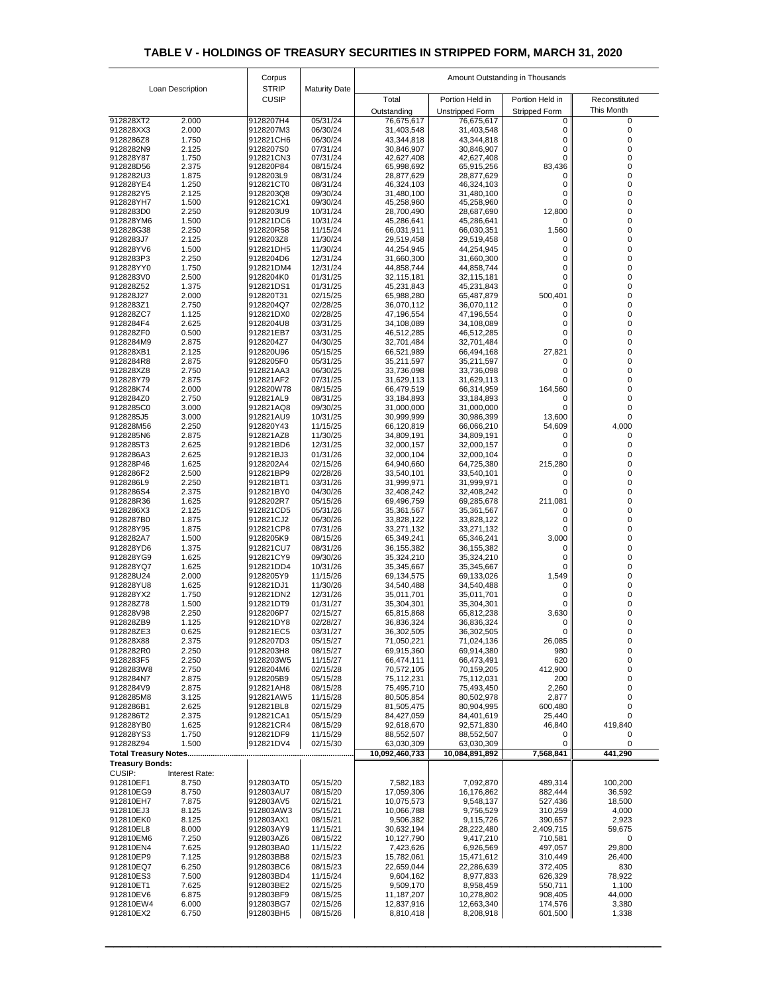|                        |                  | Corpus                       |                      | Amount Outstanding in Thousands |                            |                      |                  |  |
|------------------------|------------------|------------------------------|----------------------|---------------------------------|----------------------------|----------------------|------------------|--|
|                        | Loan Description | <b>STRIP</b><br><b>CUSIP</b> | <b>Maturity Date</b> | Total                           | Portion Held in            | Portion Held in      | Reconstituted    |  |
|                        |                  |                              |                      | Outstanding                     | <b>Unstripped Form</b>     | <b>Stripped Form</b> | This Month       |  |
| 912828XT2              | 2.000            | 9128207H4                    | 05/31/24             | 76,675,617                      | 76,675,617                 | 0                    | 0                |  |
| 912828XX3              | 2.000            | 9128207M3                    | 06/30/24             | 31,403,548                      | 31,403,548                 | 0                    | 0                |  |
| 9128286Z8<br>9128282N9 | 1.750<br>2.125   | 912821CH6<br>9128207S0       | 06/30/24<br>07/31/24 | 43,344,818<br>30,846,907        | 43,344,818<br>30,846,907   | 0                    |                  |  |
| 912828Y87              | 1.750            | 912821CN3                    | 07/31/24             | 42,627,408                      | 42,627,408                 |                      |                  |  |
| 912828D56              | 2.375            | 912820P84                    | 08/15/24             | 65,998,692                      | 65,915,256                 | 83,436               |                  |  |
| 9128282U3<br>912828YE4 | 1.875<br>1.250   | 9128203L9<br>912821CT0       | 08/31/24<br>08/31/24 | 28,877,629<br>46,324,103        | 28,877,629<br>46,324,103   | 0                    | 0                |  |
| 9128282Y5              | 2.125            | 9128203Q8                    | 09/30/24             | 31,480,100                      | 31,480,100                 |                      |                  |  |
| 912828YH7              | 1.500            | 912821CX1                    | 09/30/24             | 45,258,960                      | 45,258,960                 | 0                    |                  |  |
| 9128283D0              | 2.250            | 9128203U9                    | 10/31/24             | 28,700,490                      | 28,687,690                 | 12,800               |                  |  |
| 912828YM6<br>912828G38 | 1.500<br>2.250   | 912821DC6<br>912820R58       | 10/31/24<br>11/15/24 | 45,286,641<br>66,031,911        | 45,286,641<br>66,030,351   | 0<br>1,560           |                  |  |
| 9128283J7              | 2.125            | 9128203Z8                    | 11/30/24             | 29,519,458                      | 29,519,458                 |                      |                  |  |
| 912828YV6              | 1.500            | 912821DH5                    | 11/30/24             | 44,254,945                      | 44,254,945                 |                      |                  |  |
| 9128283P3<br>912828YY0 | 2.250<br>1.750   | 9128204D6<br>912821DM4       | 12/31/24<br>12/31/24 | 31,660,300<br>44,858,744        | 31,660,300<br>44,858,744   | 0<br>0               |                  |  |
| 9128283V0              | 2.500            | 9128204K0                    | 01/31/25             | 32,115,181                      | 32,115,181                 | 0                    |                  |  |
| 912828Z52              | 1.375            | 912821DS1                    | 01/31/25             | 45,231,843                      | 45,231,843                 |                      | 0                |  |
| 912828J27              | 2.000            | 912820T31                    | 02/15/25             | 65,988,280                      | 65,487,879                 | 500,401              |                  |  |
| 9128283Z1<br>912828ZC7 | 2.750<br>1.125   | 9128204Q7<br>912821DX0       | 02/28/25<br>02/28/25 | 36,070,112<br>47,196,554        | 36,070,112<br>47,196,554   | 0                    |                  |  |
| 9128284F4              | 2.625            | 9128204U8                    | 03/31/25             | 34,108,089                      | 34,108,089                 |                      |                  |  |
| 912828ZF0              | 0.500            | 912821EB7                    | 03/31/25             | 46,512,285                      | 46,512,285                 | 0                    |                  |  |
| 9128284M9              | 2.875            | 9128204Z7                    | 04/30/25             | 32,701,484                      | 32,701,484                 |                      |                  |  |
| 912828XB1<br>9128284R8 | 2.125            | 912820U96<br>9128205F0       | 05/15/25<br>05/31/25 | 66,521,989                      | 66,494,168                 | 27,821<br>U          |                  |  |
| 912828XZ8              | 2.875<br>2.750   | 912821AA3                    | 06/30/25             | 35,211,597<br>33,736,098        | 35,211,597<br>33,736,098   | 0                    |                  |  |
| 912828Y79              | 2.875            | 912821AF2                    | 07/31/25             | 31,629,113                      | 31,629,113                 |                      |                  |  |
| 912828K74              | 2.000            | 912820W78                    | 08/15/25             | 66,479,519                      | 66,314,959                 | 164,560              |                  |  |
| 9128284Z0              | 2.750            | 912821AL9                    | 08/31/25             | 33,184,893                      | 33,184,893                 |                      |                  |  |
| 9128285C0<br>9128285J5 | 3.000<br>3.000   | 912821AQ8<br>912821AU9       | 09/30/25<br>10/31/25 | 31,000,000<br>30,999,999        | 31,000,000<br>30,986,399   | 13,600               |                  |  |
| 912828M56              | 2.250            | 912820Y43                    | 11/15/25             | 66,120,819                      | 66,066,210                 | 54,609               | 4,000            |  |
| 9128285N6              | 2.875            | 912821AZ8                    | 11/30/25             | 34,809,191                      | 34,809,191                 |                      |                  |  |
| 9128285T3              | 2.625            | 912821BD6                    | 12/31/25             | 32,000,157                      | 32,000,157                 |                      |                  |  |
| 9128286A3<br>912828P46 | 2.625<br>1.625   | 912821BJ3<br>9128202A4       | 01/31/26<br>02/15/26 | 32,000,104<br>64,940,660        | 32,000,104<br>64,725,380   | 215,280              |                  |  |
| 9128286F2              | 2.500            | 912821BP9                    | 02/28/26             | 33,540,101                      | 33,540,101                 | 0                    |                  |  |
| 9128286L9              | 2.250            | 912821BT1                    | 03/31/26             | 31,999,971                      | 31,999,971                 |                      |                  |  |
| 9128286S4              | 2.375            | 912821BY0                    | 04/30/26             | 32,408,242                      | 32,408,242                 |                      |                  |  |
| 912828R36<br>9128286X3 | 1.625<br>2.125   | 9128202R7<br>912821CD5       | 05/15/26<br>05/31/26 | 69,496,759<br>35,361,567        | 69,285,678<br>35,361,567   | 211,081              |                  |  |
| 9128287B0              | 1.875            | 912821CJ2                    | 06/30/26             | 33,828,122                      | 33,828,122                 |                      |                  |  |
| 912828Y95              | 1.875            | 912821CP8                    | 07/31/26             | 33,271,132                      | 33,271,132                 |                      |                  |  |
| 9128282A7              | 1.500            | 9128205K9                    | 08/15/26             | 65,349,241                      | 65,346,241                 | 3,000                |                  |  |
| 912828YD6<br>912828YG9 | 1.375<br>1.625   | 912821CU7<br>912821CY9       | 08/31/26<br>09/30/26 | 36, 155, 382<br>35,324,210      | 36, 155, 382<br>35,324,210 | 0                    |                  |  |
| 912828YQ7              | 1.625            | 912821DD4                    | 10/31/26             | 35,345,667                      | 35,345,667                 |                      |                  |  |
| 912828U24              | 2.000            | 9128205Y9                    | 11/15/26             | 69,134,575                      | 69,133,026                 | 1,549                |                  |  |
| 912828YU8              | 1.625            | 912821DJ1                    | 11/30/26             | 34,540,488                      | 34,540,488                 |                      |                  |  |
| 912828YX2<br>912828Z78 | 1.750<br>1.500   | 912821DN2<br>912821DT9       | 12/31/26<br>01/31/27 | 35,011,701<br>35,304,301        | 35,011,701<br>35,304,301   |                      |                  |  |
| 912828V98              | 2.250            | 9128206P7                    | 02/15/27             | 65,815,868                      | 65,812,238                 | 3,630                |                  |  |
| 912828ZB9              | 1.125            | 912821DY8                    | 02/28/27             | 36,836,324                      | 36,836,324                 | 0                    |                  |  |
| 912828ZE3              | 0.625            | 912821EC5                    | 03/31/27             | 36,302,505                      | 36,302,505                 |                      |                  |  |
| 912828X88<br>9128282R0 | 2.375<br>2.250   | 9128207D3<br>9128203H8       | 05/15/27<br>08/15/27 | 71,050,221<br>69,915,360        | 71,024,136<br>69,914,380   | 26,085<br>980        | 0                |  |
| 9128283F5              | 2.250            | 9128203W5                    | 11/15/27             | 66,474,111                      | 66,473,491                 | 620                  | 0                |  |
| 9128283W8              | 2.750            | 9128204M6                    | 02/15/28             | 70,572,105                      | 70,159,205                 | 412,900              |                  |  |
| 9128284N7              | 2.875            | 9128205B9                    | 05/15/28             | 75,112,231                      | 75,112,031                 | 200                  |                  |  |
| 9128284V9<br>9128285M8 | 2.875<br>3.125   | 912821AH8<br>912821AW5       | 08/15/28<br>11/15/28 | 75,495,710<br>80,505,854        | 75,493,450<br>80,502,978   | 2,260<br>2,877       |                  |  |
| 9128286B1              | 2.625            | 912821BL8                    | 02/15/29             | 81,505,475                      | 80,904,995                 | 600,480              |                  |  |
| 9128286T2              | 2.375            | 912821CA1                    | 05/15/29             | 84,427,059                      | 84,401,619                 | 25,440               |                  |  |
| 912828YB0              | 1.625            | 912821CR4                    | 08/15/29             | 92,618,670                      | 92,571,830                 | 46,840               | 419,840          |  |
| 912828YS3<br>912828Z94 | 1.750<br>1.500   | 912821DF9<br>912821DV4       | 11/15/29<br>02/15/30 | 88,552,507<br>63,030,309        | 88,552,507<br>63,030,309   | 0                    |                  |  |
|                        |                  |                              |                      | 10,092,460,733                  | 10,084,891,892             | 7,568,841            | 441,290          |  |
| <b>Treasury Bonds:</b> |                  |                              |                      |                                 |                            |                      |                  |  |
| <b>CUSIP:</b>          | Interest Rate:   |                              |                      |                                 |                            |                      |                  |  |
| 912810EF1              | 8.750            | 912803AT0                    | 05/15/20             | 7,582,183                       | 7,092,870                  | 489,314              | 100,200          |  |
| 912810EG9<br>912810EH7 | 8.750<br>7.875   | 912803AU7<br>912803AV5       | 08/15/20<br>02/15/21 | 17,059,306<br>10,075,573        | 16,176,862<br>9,548,137    | 882,444<br>527,436   | 36,592<br>18,500 |  |
| 912810EJ3              | 8.125            | 912803AW3                    | 05/15/21             | 10,066,788                      | 9,756,529                  | 310,259              | 4,000            |  |
| 912810EK0              | 8.125            | 912803AX1                    | 08/15/21             | 9,506,382                       | 9,115,726                  | 390,657              | 2,923            |  |
| 912810EL8              | 8.000            | 912803AY9                    | 11/15/21             | 30,632,194                      | 28,222,480                 | 2,409,715            | 59,675           |  |
| 912810EM6<br>912810EN4 | 7.250<br>7.625   | 912803AZ6<br>912803BA0       | 08/15/22<br>11/15/22 | 10,127,790<br>7,423,626         | 9,417,210<br>6,926,569     | 710,581<br>497,057   | 0<br>29,800      |  |
| 912810EP9              | 7.125            | 912803BB8                    | 02/15/23             | 15,782,061                      | 15,471,612                 | 310,449              | 26,400           |  |
| 912810EQ7              | 6.250            | 912803BC6                    | 08/15/23             | 22,659,044                      | 22,286,639                 | 372,405              | 830              |  |
| 912810ES3              | 7.500            | 912803BD4                    | 11/15/24             | 9,604,162                       | 8,977,833                  | 626,329              | 78,922           |  |
| 912810ET1<br>912810EV6 | 7.625<br>6.875   | 912803BE2<br>912803BF9       | 02/15/25<br>08/15/25 | 9,509,170<br>11,187,207         | 8,958,459<br>10,278,802    | 550,711<br>908,405   | 1,100<br>44,000  |  |
| 912810EW4              | 6.000            | 912803BG7                    | 02/15/26             | 12,837,916                      | 12,663,340                 | 174,576              | 3,380            |  |
| 912810EX2              | 6.750            | 912803BH5                    | 08/15/26             | 8,810,418                       | 8,208,918                  | 601,500              | 1,338            |  |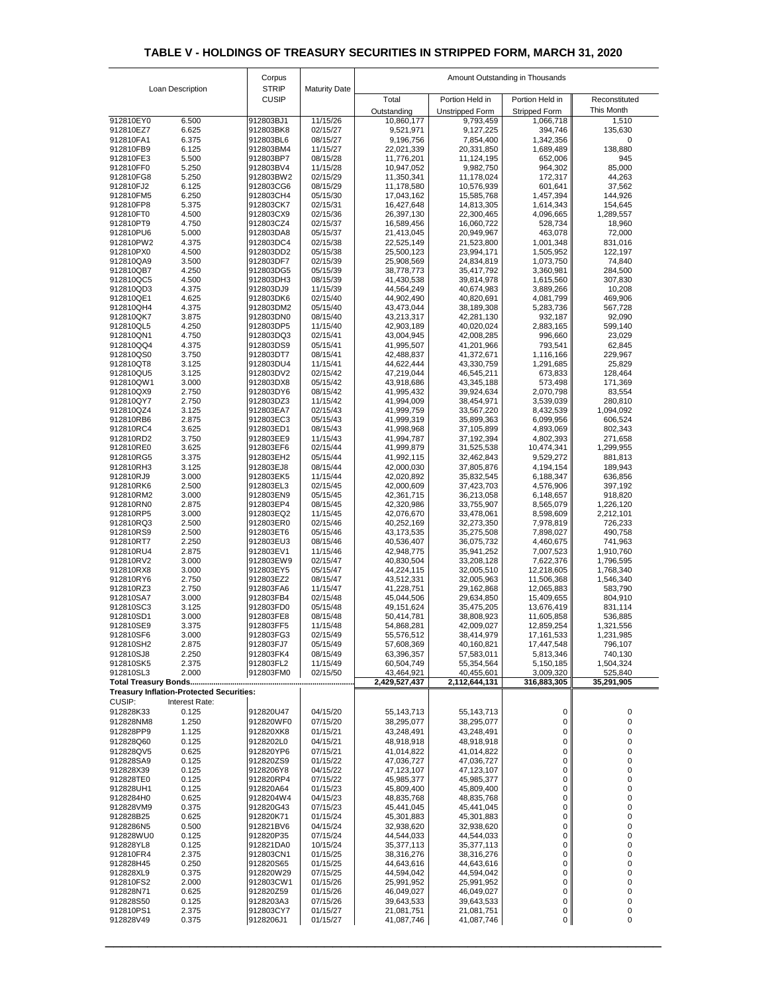|                        |                                                 | Corpus                       |                      | Amount Outstanding in Thousands |                          |                            |                        |  |
|------------------------|-------------------------------------------------|------------------------------|----------------------|---------------------------------|--------------------------|----------------------------|------------------------|--|
|                        | Loan Description                                | <b>STRIP</b><br><b>CUSIP</b> | <b>Maturity Date</b> | Total                           | Portion Held in          | Portion Held in            | Reconstituted          |  |
|                        |                                                 |                              |                      | Outstanding                     | <b>Unstripped Form</b>   | <b>Stripped Form</b>       | This Month             |  |
| 912810EY0              | 6.500                                           | 912803BJ1                    | 11/15/26             | 10,860,177                      | 9,793,459                | 1,066,718                  | 1,510                  |  |
| 912810EZ7              | 6.625                                           | 912803BK8                    | 02/15/27             | 9,521,971                       | 9,127,225                | 394,746                    | 135,630                |  |
| 912810FA1<br>912810FB9 | 6.375<br>6.125                                  | 912803BL6<br>912803BM4       | 08/15/27<br>11/15/27 | 9,196,756<br>22,021,339         | 7,854,400<br>20,331,850  | 1,342,356<br>1,689,489     | 0<br>138,880           |  |
| 912810FE3              | 5.500                                           | 912803BP7                    | 08/15/28             | 11,776,201                      | 11,124,195               | 652,006                    | 945                    |  |
| 912810FF0              | 5.250                                           | 912803BV4                    | 11/15/28             | 10,947,052                      | 9,982,750                | 964,302                    | 85,000                 |  |
| 912810FG8              | 5.250                                           | 912803BW2                    | 02/15/29             | 11,350,341                      | 11,178,024               | 172,317                    | 44,263                 |  |
| 912810FJ2<br>912810FM5 | 6.125<br>6.250                                  | 912803CG6<br>912803CH4       | 08/15/29<br>05/15/30 | 11,178,580<br>17,043,162        | 10,576,939<br>15,585,768 | 601,641<br>1,457,394       | 37,562<br>144,926      |  |
| 912810FP8              | 5.375                                           | 912803CK7                    | 02/15/31             | 16,427,648                      | 14,813,305               | 1,614,343                  | 154,645                |  |
| 912810FT0              | 4.500                                           | 912803CX9                    | 02/15/36             | 26,397,130                      | 22,300,465               | 4,096,665                  | 1,289,557              |  |
| 912810PT9              | 4.750                                           | 912803CZ4                    | 02/15/37             | 16,589,456                      | 16,060,722               | 528,734                    | 18,960                 |  |
| 912810PU6<br>912810PW2 | 5.000<br>4.375                                  | 912803DA8<br>912803DC4       | 05/15/37<br>02/15/38 | 21,413,045<br>22,525,149        | 20,949,967<br>21,523,800 | 463,078<br>1,001,348       | 72,000<br>831,016      |  |
| 912810PX0              | 4.500                                           | 912803DD2                    | 05/15/38             | 25,500,123                      | 23,994,171               | 1,505,952                  | 122,197                |  |
| 912810QA9              | 3.500                                           | 912803DF7                    | 02/15/39             | 25,908,569                      | 24,834,819               | 1,073,750                  | 74,840                 |  |
| 912810QB7<br>912810QC5 | 4.250<br>4.500                                  | 912803DG5<br>912803DH3       | 05/15/39<br>08/15/39 | 38,778,773<br>41,430,538        | 35,417,792<br>39,814,978 | 3,360,981<br>1,615,560     | 284,500<br>307,830     |  |
| 912810QD3              | 4.375                                           | 912803DJ9                    | 11/15/39             | 44,564,249                      | 40,674,983               | 3,889,266                  | 10,208                 |  |
| 912810QE1              | 4.625                                           | 912803DK6                    | 02/15/40             | 44,902,490                      | 40,820,691               | 4,081,799                  | 469,906                |  |
| 912810QH4              | 4.375                                           | 912803DM2                    | 05/15/40             | 43,473,044                      | 38,189,308               | 5,283,736                  | 567,728                |  |
| 912810QK7<br>912810QL5 | 3.875<br>4.250                                  | 912803DN0<br>912803DP5       | 08/15/40<br>11/15/40 | 43,213,317<br>42,903,189        | 42,281,130<br>40,020,024 | 932,187<br>2,883,165       | 92,090<br>599,140      |  |
| 912810QN1              | 4.750                                           | 912803DQ3                    | 02/15/41             | 43,004,945                      | 42,008,285               | 996,660                    | 23,029                 |  |
| 912810QQ4              | 4.375                                           | 912803DS9                    | 05/15/41             | 41,995,507                      | 41,201,966               | 793,541                    | 62,845                 |  |
| 912810QS0              | 3.750                                           | 912803DT7                    | 08/15/41             | 42,488,837                      | 41,372,671               | 1,116,166                  | 229,967                |  |
| 912810QT8<br>912810QU5 | 3.125<br>3.125                                  | 912803DU4<br>912803DV2       | 11/15/41<br>02/15/42 | 44,622,444<br>47,219,044        | 43,330,759<br>46,545,211 | 1,291,685<br>673,833       | 25,829<br>128,464      |  |
| 912810QW1              | 3.000                                           | 912803DX8                    | 05/15/42             | 43,918,686                      | 43,345,188               | 573,498                    | 171,369                |  |
| 912810QX9              | 2.750                                           | 912803DY6                    | 08/15/42             | 41,995,432                      | 39,924,634               | 2,070,798                  | 83,554                 |  |
| 912810QY7              | 2.750                                           | 912803DZ3                    | 11/15/42             | 41,994,009                      | 38,454,971               | 3,539,039                  | 280,810                |  |
| 912810QZ4<br>912810RB6 | 3.125<br>2.875                                  | 912803EA7<br>912803EC3       | 02/15/43<br>05/15/43 | 41,999,759<br>41,999,319        | 33,567,220<br>35,899,363 | 8,432,539<br>6,099,956     | 1,094,092<br>606,524   |  |
| 912810RC4              | 3.625                                           | 912803ED1                    | 08/15/43             | 41,998,968                      | 37,105,899               | 4,893,069                  | 802,343                |  |
| 912810RD2              | 3.750                                           | 912803EE9                    | 11/15/43             | 41,994,787                      | 37,192,394               | 4,802,393                  | 271,658                |  |
| 912810RE0              | 3.625                                           | 912803EF6                    | 02/15/44             | 41,999,879                      | 31,525,538               | 10,474,341                 | 1,299,955              |  |
| 912810RG5<br>912810RH3 | 3.375<br>3.125                                  | 912803EH2<br>912803EJ8       | 05/15/44<br>08/15/44 | 41,992,115<br>42,000,030        | 32,462,843<br>37,805,876 | 9,529,272<br>4,194,154     | 881,813<br>189,943     |  |
| 912810RJ9              | 3.000                                           | 912803EK5                    | 11/15/44             | 42,020,892                      | 35,832,545               | 6,188,347                  | 636,856                |  |
| 912810RK6              | 2.500                                           | 912803EL3                    | 02/15/45             | 42,000,609                      | 37,423,703               | 4,576,906                  | 397,192                |  |
| 912810RM2              | 3.000                                           | 912803EN9                    | 05/15/45             | 42,361,715                      | 36,213,058               | 6,148,657                  | 918,820                |  |
| 912810RN0<br>912810RP5 | 2.875<br>3.000                                  | 912803EP4<br>912803EQ2       | 08/15/45<br>11/15/45 | 42,320,986<br>42,076,670        | 33,755,907<br>33,478,061 | 8,565,079<br>8,598,609     | 1,226,120<br>2,212,101 |  |
| 912810RQ3              | 2.500                                           | 912803ER0                    | 02/15/46             | 40,252,169                      | 32,273,350               | 7,978,819                  | 726,233                |  |
| 912810RS9              | 2.500                                           | 912803ET6                    | 05/15/46             | 43,173,535                      | 35,275,508               | 7,898,027                  | 490,758                |  |
| 912810RT7              | 2.250                                           | 912803EU3<br>912803EV1       | 08/15/46             | 40,536,407                      | 36,075,732               | 4,460,675                  | 741,963                |  |
| 912810RU4<br>912810RV2 | 2.875<br>3.000                                  | 912803EW9                    | 11/15/46<br>02/15/47 | 42,948,775<br>40,830,504        | 35,941,252<br>33,208,128 | 7,007,523<br>7,622,376     | 1,910,760<br>1,796,595 |  |
| 912810RX8              | 3.000                                           | 912803EY5                    | 05/15/47             | 44,224,115                      | 32,005,510               | 12,218,605                 | 1,768,340              |  |
| 912810RY6              | 2.750                                           | 912803EZ2                    | 08/15/47             | 43,512,331                      | 32,005,963               | 11,506,368                 | 1,546,340              |  |
| 912810RZ3<br>912810SA7 | 2.750<br>3.000                                  | 912803FA6<br>912803FB4       | 11/15/47<br>02/15/48 | 41,228,751<br>45,044,506        | 29,162,868<br>29,634,850 | 12,065,883<br>15,409,655   | 583,790<br>804,910     |  |
| 912810SC3              | 3.125                                           | 912803FD0                    | 05/15/48             | 49,151,624                      | 35,475,205               | 13,676,419                 | 831,114                |  |
| 912810SD1              | 3.000                                           | 912803FE8                    | 08/15/48             | 50,414,781                      | 38,808,923               | 11,605,858                 | 536,885                |  |
| 912810SE9              | 3.375                                           | 912803FF5                    | 11/15/48             | 54,868,281                      | 42,009,027               | 12,859,254                 | 1,321,556              |  |
| 912810SF6<br>912810SH2 | 3.000<br>2.875                                  | 912803FG3<br>912803FJ7       | 02/15/49<br>05/15/49 | 55,576,512<br>57,608,369        | 38,414,979<br>40,160,821 | 17,161,533<br>17,447,548   | 1,231,985<br>796,107   |  |
| 912810SJ8              | 2.250                                           | 912803FK4                    | 08/15/49             | 63,396,357                      | 57,583,011               | 5,813,346                  | 740,130                |  |
| 912810SK5              | 2.375                                           | 912803FL2                    | 11/15/49             | 60,504,749                      | 55,354,564               | 5,150,185                  | 1,504,324              |  |
| 912810SL3              | 2.000                                           | 912803FM0                    | 02/15/50             | 43,464,921                      | 40,455,601               | 3,009,320                  | 525,840                |  |
|                        | <b>Treasury Inflation-Protected Securities:</b> |                              |                      | 2,429,527,437                   | 2,112,644,131            | 316,883,305                | 35,291,905             |  |
| <b>CUSIP:</b>          | <b>Interest Rate:</b>                           |                              |                      |                                 |                          |                            |                        |  |
| 912828K33              | 0.125                                           | 912820U47                    | 04/15/20             | 55, 143, 713                    | 55, 143, 713             | $\mathbf 0$                | $\mathbf 0$            |  |
| 912828NM8              | 1.250                                           | 912820WF0                    | 07/15/20             | 38,295,077                      | 38,295,077               | $\mathbf 0$                | 0                      |  |
| 912828PP9              | 1.125                                           | 912820XK8                    | 01/15/21             | 43,248,491                      | 43,248,491               | 0                          | 0                      |  |
| 912828Q60<br>912828QV5 | 0.125<br>0.625                                  | 9128202L0<br>912820YP6       | 04/15/21<br>07/15/21 | 48,918,918<br>41,014,822        | 48,918,918<br>41,014,822 | 0<br>$\overline{0}$        | 0                      |  |
| 912828SA9              | 0.125                                           | 912820ZS9                    | 01/15/22             | 47,036,727                      | 47,036,727               | 0                          |                        |  |
| 912828X39              | 0.125                                           | 9128206Y8                    | 04/15/22             | 47,123,107                      | 47,123,107               | 0                          |                        |  |
| 912828TE0              | 0.125                                           | 912820RP4                    | 07/15/22             | 45,985,377                      | 45,985,377               | 0                          |                        |  |
| 912828UH1<br>9128284H0 | 0.125<br>0.625                                  | 912820A64<br>9128204W4       | 01/15/23<br>04/15/23 | 45,809,400<br>48,835,768        | 45,809,400<br>48,835,768 | 0<br>0                     |                        |  |
| 912828VM9              | 0.375                                           | 912820G43                    | 07/15/23             | 45,441,045                      | 45,441,045               | $\mathbf 0$                | 0                      |  |
| 912828B25              | 0.625                                           | 912820K71                    | 01/15/24             | 45,301,883                      | 45,301,883               | $\boldsymbol{0}$           |                        |  |
| 9128286N5              | 0.500                                           | 912821BV6                    | 04/15/24             | 32,938,620                      | 32,938,620               | 0                          |                        |  |
| 912828WU0<br>912828YL8 | 0.125<br>0.125                                  | 912820P35<br>912821DA0       | 07/15/24<br>10/15/24 | 44,544,033<br>35,377,113        | 44,544,033<br>35,377,113 | 0<br>0                     |                        |  |
| 912810FR4              | 2.375                                           | 912803CN1                    | 01/15/25             | 38,316,276                      | 38,316,276               | $\mathbf 0$                | 0                      |  |
| 912828H45              | 0.250                                           | 912820S65                    | 01/15/25             | 44,643,616                      | 44,643,616               | $\boldsymbol{0}$           |                        |  |
| 912828XL9              | 0.375                                           | 912820W29                    | 07/15/25             | 44,594,042                      | 44,594,042               | $\overline{0}$             | 0                      |  |
| 912810FS2<br>912828N71 | 2.000<br>0.625                                  | 912803CW1<br>912820Z59       | 01/15/26<br>01/15/26 | 25,991,952<br>46,049,027        | 25,991,952<br>46,049,027 | $\mathbf 0$<br>$\mathbf 0$ | 0<br>0                 |  |
| 912828S50              | 0.125                                           | 9128203A3                    | 07/15/26             | 39,643,533                      | 39,643,533               | $\mathbf 0$                | 0                      |  |
| 912810PS1              | 2.375                                           | 912803CY7                    | 01/15/27             | 21,081,751                      | 21,081,751               | $\mathbf 0$                | 0                      |  |
| 912828V49              | 0.375                                           | 9128206J1                    | 01/15/27             | 41,087,746                      | 41,087,746               | $\overline{0}$             | $\pmb{0}$              |  |